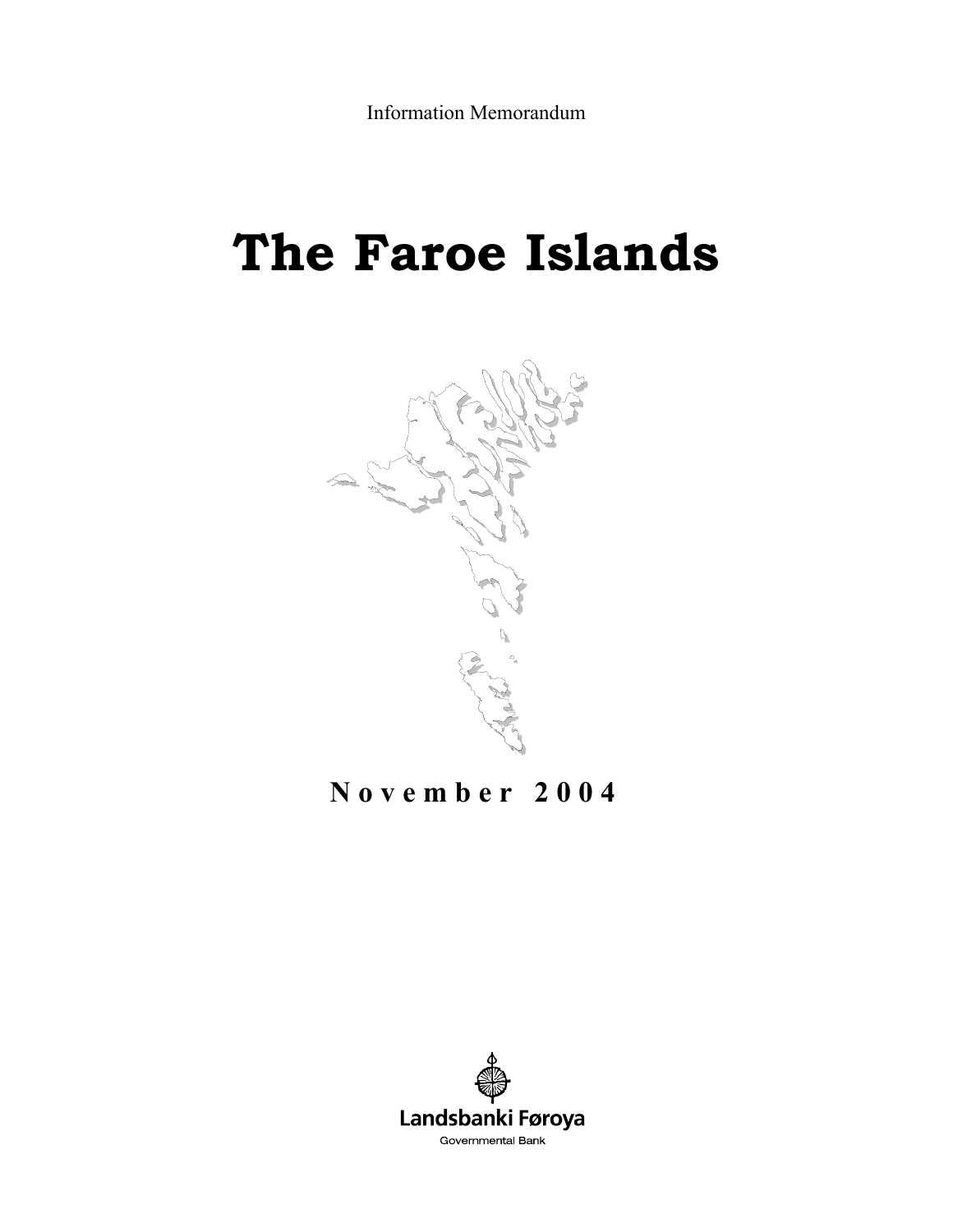# **The Faroe Islands**



# **November 2004**

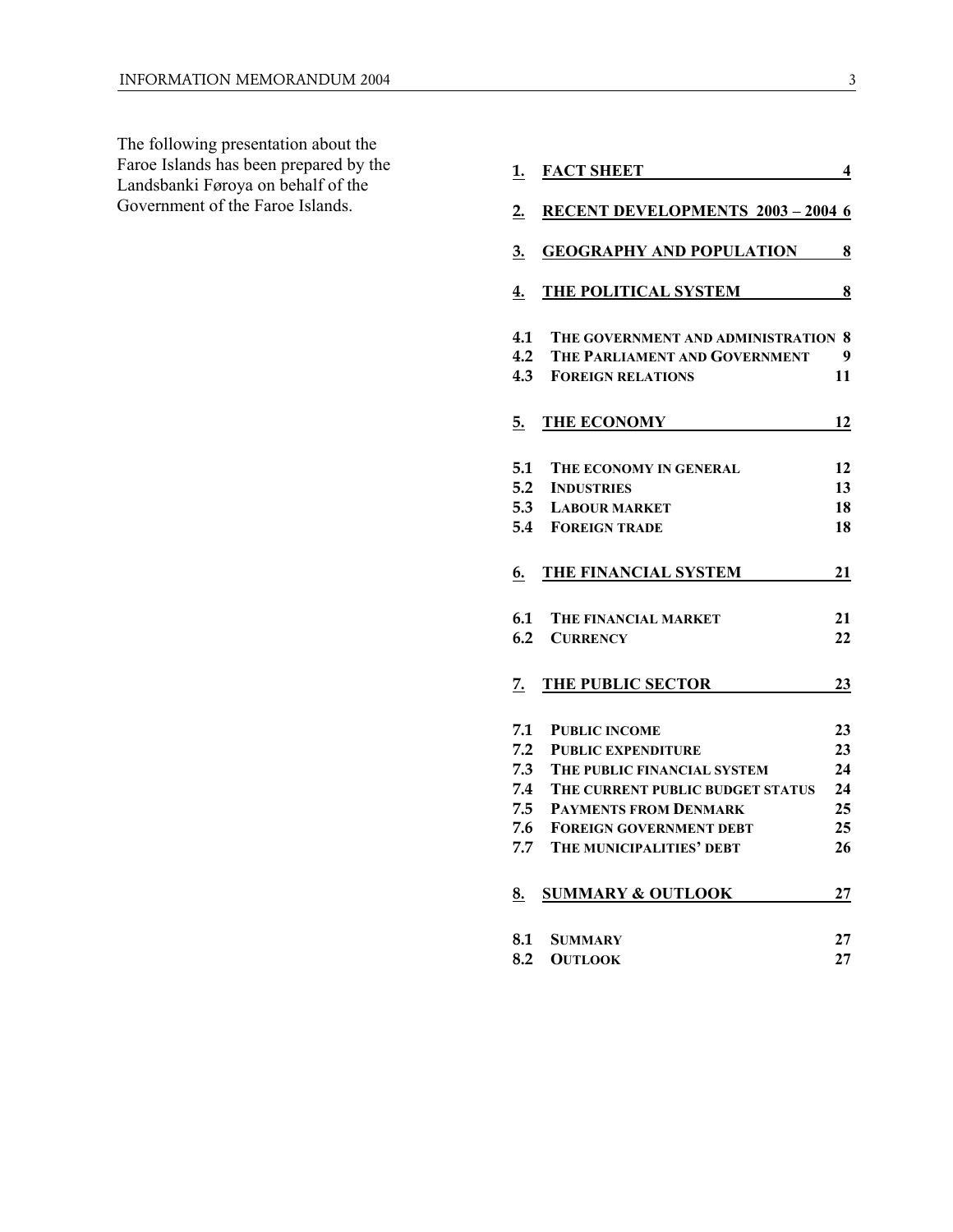The following presentation about the Faroe Islands has been prepared by the Landsbanki Føroya on behalf of the Government of the Faroe Islands.

| <u>1.</u> | <b>FACT SHEET</b>                      | 4  |
|-----------|----------------------------------------|----|
| 2.        | <b>RECENT DEVELOPMENTS 2003-2004 6</b> |    |
| 3.        | <b>GEOGRAPHY AND POPULATION 8</b>      |    |
| 4.        | THE POLITICAL SYSTEM                   | 8  |
| 4.1       | THE GOVERNMENT AND ADMINISTRATION 8    |    |
| 4.2       | THE PARLIAMENT AND GOVERNMENT          | 9  |
| 4.3       | <b>FOREIGN RELATIONS</b>               | 11 |
| 5.        | THE ECONOMY                            | 12 |
| 5.1       | THE ECONOMY IN GENERAL                 | 12 |
| 5.2       | <b>INDUSTRIES</b>                      | 13 |
| 5.3       | <b>LABOUR MARKET</b>                   | 18 |
| 5.4       | <b>FOREIGN TRADE</b>                   | 18 |
| 6.        | THE FINANCIAL SYSTEM                   | 21 |
| 6.1       | THE FINANCIAL MARKET                   | 21 |
| 6.2       | <b>CURRENCY</b>                        | 22 |
| 7.        | THE PUBLIC SECTOR                      | 23 |
| 7.1       | <b>PUBLIC INCOME</b>                   | 23 |
| 7.2       | <b>PUBLIC EXPENDITURE</b>              | 23 |
| 7.3       | THE PUBLIC FINANCIAL SYSTEM            | 24 |
| 7.4       | THE CURRENT PUBLIC BUDGET STATUS       | 24 |
| 7.5       | <b>PAYMENTS FROM DENMARK</b>           | 25 |
| 7.6       | <b>FOREIGN GOVERNMENT DEBT</b>         | 25 |
| 7.7       | THE MUNICIPALITIES' DEBT               | 26 |
| 8.        | <b>SUMMARY &amp; OUTLOOK</b>           | 27 |
| 8.1       | SUMMARY                                | 27 |
| 8.2       | <b>OUTLOOK</b>                         | 27 |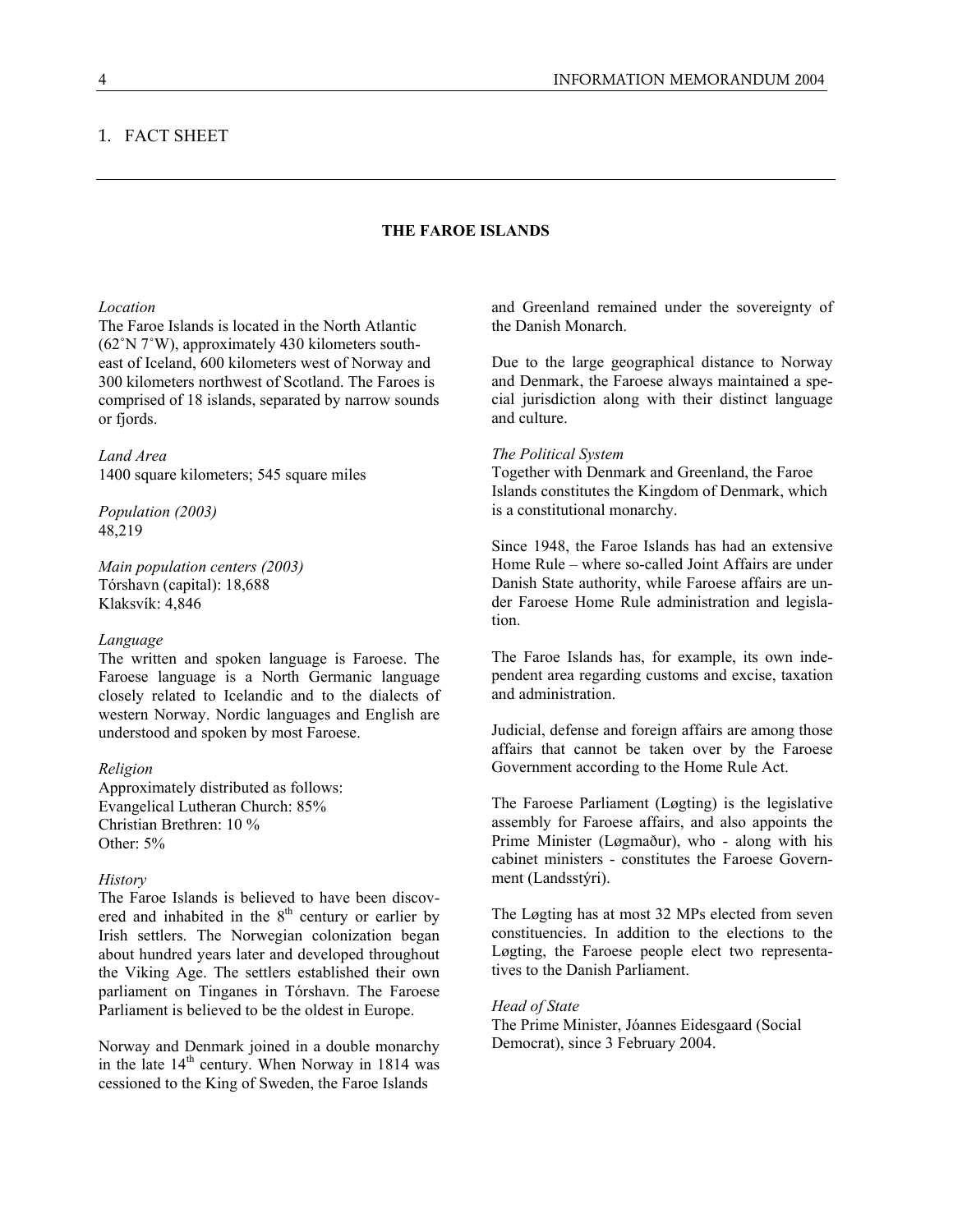# 1. FACT SHEET

# **THE FAROE ISLANDS**

#### *Location*

The Faroe Islands is located in the North Atlantic (62˚N 7˚W), approximately 430 kilometers southeast of Iceland, 600 kilometers west of Norway and 300 kilometers northwest of Scotland. The Faroes is comprised of 18 islands, separated by narrow sounds or fjords.

#### *Land Area*

1400 square kilometers; 545 square miles

*Population (2003)*  48,219

*Main population centers (2003)*  Tórshavn (capital): 18,688 Klaksvík: 4,846

#### *Language*

The written and spoken language is Faroese. The Faroese language is a North Germanic language closely related to Icelandic and to the dialects of western Norway. Nordic languages and English are understood and spoken by most Faroese.

#### *Religion*

Approximately distributed as follows: Evangelical Lutheran Church: 85% Christian Brethren: 10 % Other: 5%

#### *History*

The Faroe Islands is believed to have been discovered and inhabited in the  $8<sup>th</sup>$  century or earlier by Irish settlers. The Norwegian colonization began about hundred years later and developed throughout the Viking Age. The settlers established their own parliament on Tinganes in Tórshavn. The Faroese Parliament is believed to be the oldest in Europe.

Norway and Denmark joined in a double monarchy in the late  $14<sup>th</sup>$  century. When Norway in 1814 was cessioned to the King of Sweden, the Faroe Islands

and Greenland remained under the sovereignty of the Danish Monarch.

Due to the large geographical distance to Norway and Denmark, the Faroese always maintained a special jurisdiction along with their distinct language and culture.

#### *The Political System*

Together with Denmark and Greenland, the Faroe Islands constitutes the Kingdom of Denmark, which is a constitutional monarchy.

Since 1948, the Faroe Islands has had an extensive Home Rule – where so-called Joint Affairs are under Danish State authority, while Faroese affairs are under Faroese Home Rule administration and legislation.

The Faroe Islands has, for example, its own independent area regarding customs and excise, taxation and administration.

Judicial, defense and foreign affairs are among those affairs that cannot be taken over by the Faroese Government according to the Home Rule Act.

The Faroese Parliament (Løgting) is the legislative assembly for Faroese affairs, and also appoints the Prime Minister (Løgmaður), who - along with his cabinet ministers - constitutes the Faroese Government (Landsstýri).

The Løgting has at most 32 MPs elected from seven constituencies. In addition to the elections to the Løgting, the Faroese people elect two representatives to the Danish Parliament.

#### *Head of State*

The Prime Minister, Jóannes Eidesgaard (Social Democrat), since 3 February 2004.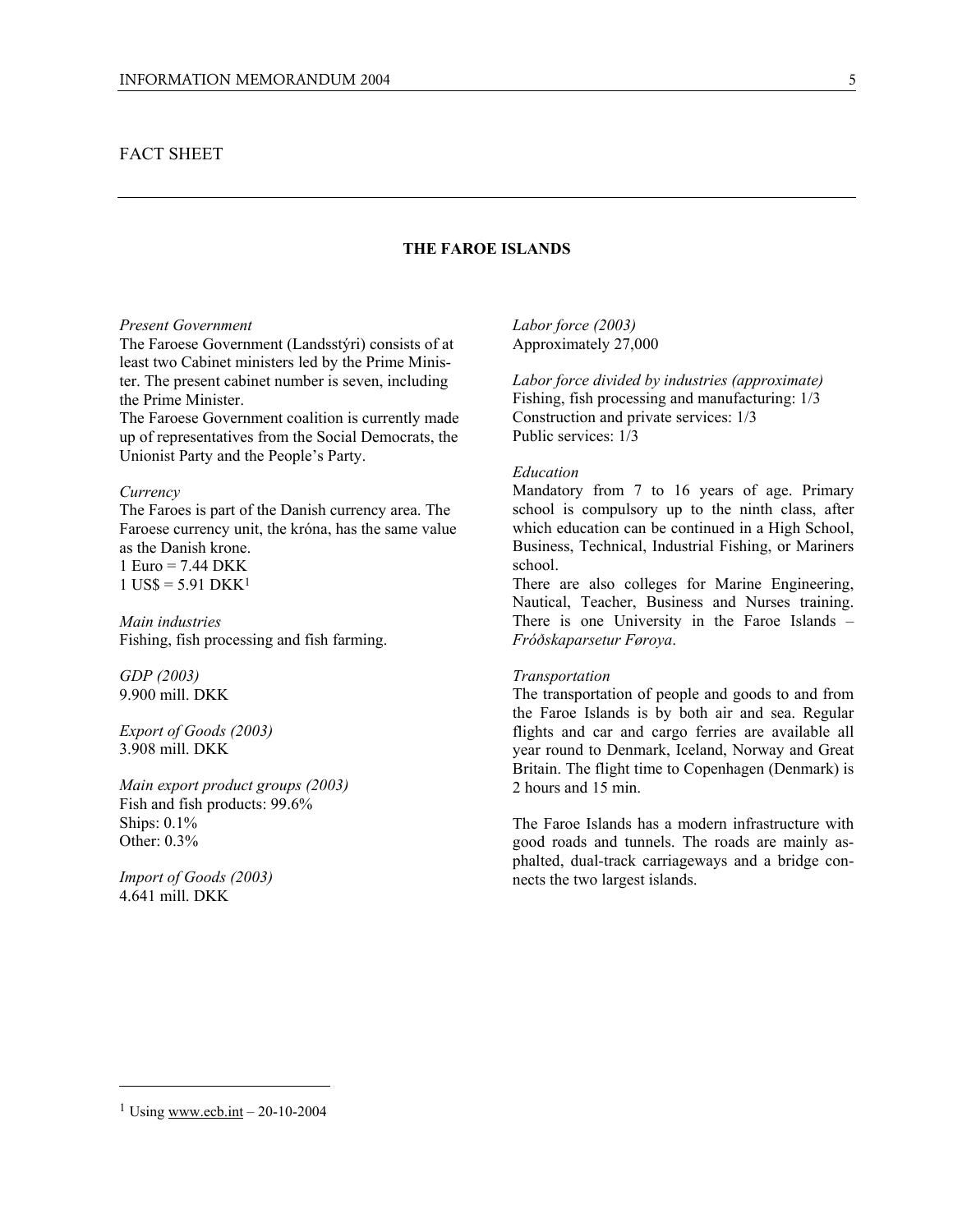# FACT SHEET

# **THE FAROE ISLANDS**

#### *Present Government*

The Faroese Government (Landsstýri) consists of at least two Cabinet ministers led by the Prime Minister. The present cabinet number is seven, including the Prime Minister.

The Faroese Government coalition is currently made up of representatives from the Social Democrats, the Unionist Party and the People's Party.

#### *Currency*

The Faroes is part of the Danish currency area. The Faroese currency unit, the króna, has the same value as the Danish krone. 1 Euro = 7.44 DKK  $1$  US\$ = 5.91 DKK<sup>1</sup>

*Main industries*  Fishing, fish processing and fish farming.

*GDP (2003)*  9.900 mill. DKK

*Export of Goods (2003)*  3.908 mill. DKK

*Main export product groups (2003)*  Fish and fish products: 99.6% Ships: 0.1% Other: 0.3%

*Import of Goods (2003)*  4.641 mill. DKK

*Labor force (2003)* Approximately 27,000

*Labor force divided by industries (approximate)*  Fishing, fish processing and manufacturing: 1/3 Construction and private services: 1/3 Public services: 1/3

#### *Education*

Mandatory from 7 to 16 years of age. Primary school is compulsory up to the ninth class, after which education can be continued in a High School, Business, Technical, Industrial Fishing, or Mariners school.

There are also colleges for Marine Engineering, Nautical, Teacher, Business and Nurses training. There is one University in the Faroe Islands – *Fróðskaparsetur Føroya*.

#### *Transportation*

The transportation of people and goods to and from the Faroe Islands is by both air and sea. Regular flights and car and cargo ferries are available all year round to Denmark, Iceland, Norway and Great Britain. The flight time to Copenhagen (Denmark) is 2 hours and 15 min.

The Faroe Islands has a modern infrastructure with good roads and tunnels. The roads are mainly asphalted, dual-track carriageways and a bridge connects the two largest islands.

 $\overline{a}$ 

<sup>&</sup>lt;sup>1</sup> Using www.ecb.int – 20-10-2004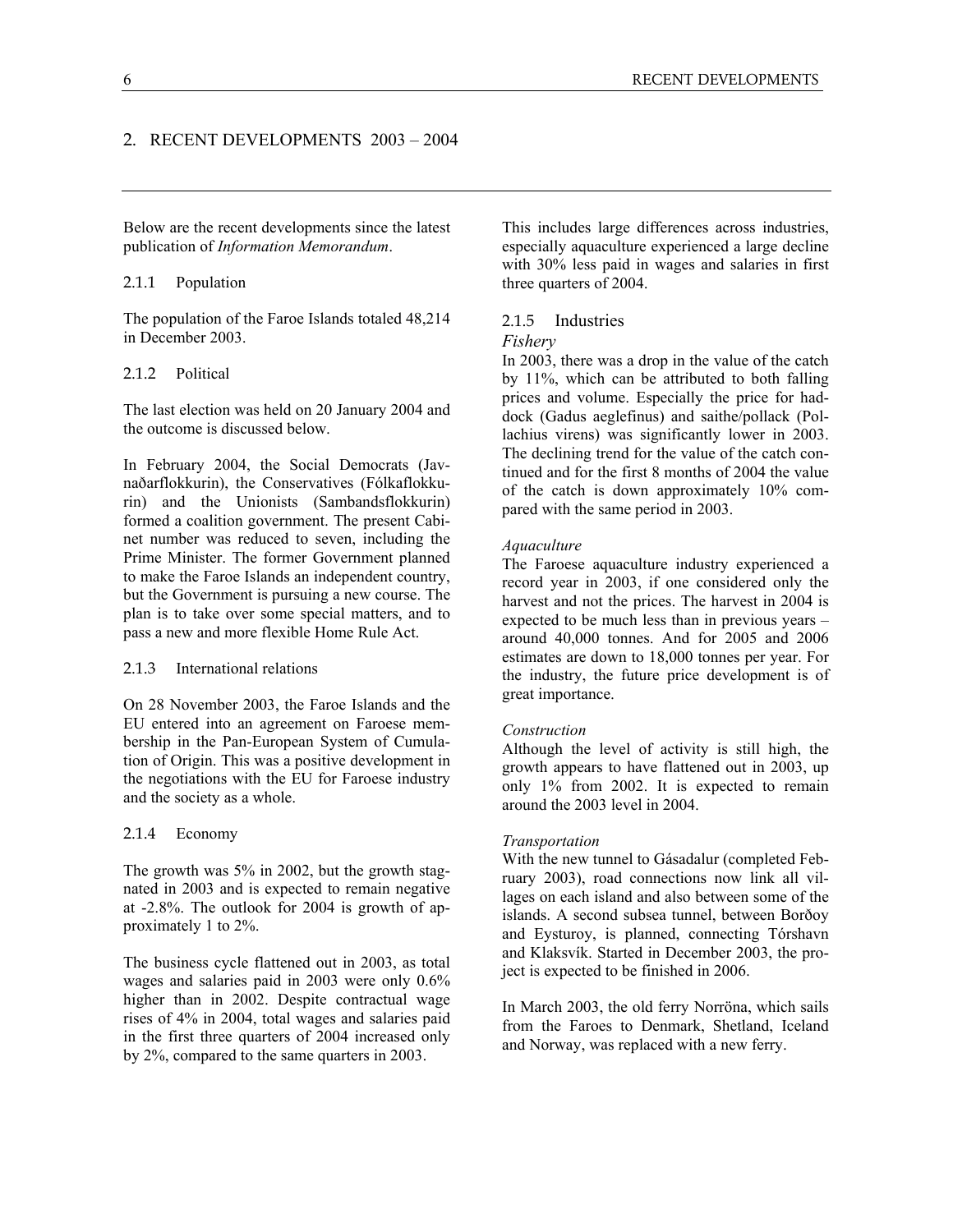Below are the recent developments since the latest publication of *Information Memorandum*.

#### 2.1.1 Population

The population of the Faroe Islands totaled 48,214 in December 2003.

#### 2.1.2 Political

The last election was held on 20 January 2004 and the outcome is discussed below.

In February 2004, the Social Democrats (Javnaðarflokkurin), the Conservatives (Fólkaflokkurin) and the Unionists (Sambandsflokkurin) formed a coalition government. The present Cabinet number was reduced to seven, including the Prime Minister. The former Government planned to make the Faroe Islands an independent country, but the Government is pursuing a new course. The plan is to take over some special matters, and to pass a new and more flexible Home Rule Act.

#### 2.1.3 International relations

On 28 November 2003, the Faroe Islands and the EU entered into an agreement on Faroese membership in the Pan-European System of Cumulation of Origin. This was a positive development in the negotiations with the EU for Faroese industry and the society as a whole.

#### 2.1.4 Economy

The growth was 5% in 2002, but the growth stagnated in 2003 and is expected to remain negative at -2.8%. The outlook for 2004 is growth of approximately 1 to 2%.

The business cycle flattened out in 2003, as total wages and salaries paid in 2003 were only 0.6% higher than in 2002. Despite contractual wage rises of 4% in 2004, total wages and salaries paid in the first three quarters of 2004 increased only by 2%, compared to the same quarters in 2003.

This includes large differences across industries, especially aquaculture experienced a large decline with 30% less paid in wages and salaries in first three quarters of 2004.

#### 2.1.5 Industries *Fishery*

In 2003, there was a drop in the value of the catch by 11%, which can be attributed to both falling prices and volume. Especially the price for haddock (Gadus aeglefinus) and saithe/pollack (Pollachius virens) was significantly lower in 2003. The declining trend for the value of the catch continued and for the first 8 months of 2004 the value of the catch is down approximately 10% compared with the same period in 2003.

#### *Aquaculture*

The Faroese aquaculture industry experienced a record year in 2003, if one considered only the harvest and not the prices. The harvest in 2004 is expected to be much less than in previous years – around 40,000 tonnes. And for 2005 and 2006 estimates are down to 18,000 tonnes per year. For the industry, the future price development is of great importance.

#### *Construction*

Although the level of activity is still high, the growth appears to have flattened out in 2003, up only 1% from 2002. It is expected to remain around the 2003 level in 2004.

#### *Transportation*

With the new tunnel to Gásadalur (completed February 2003), road connections now link all villages on each island and also between some of the islands. A second subsea tunnel, between Borðoy and Eysturoy, is planned, connecting Tórshavn and Klaksvík. Started in December 2003, the project is expected to be finished in 2006.

In March 2003, the old ferry Norröna, which sails from the Faroes to Denmark, Shetland, Iceland and Norway, was replaced with a new ferry.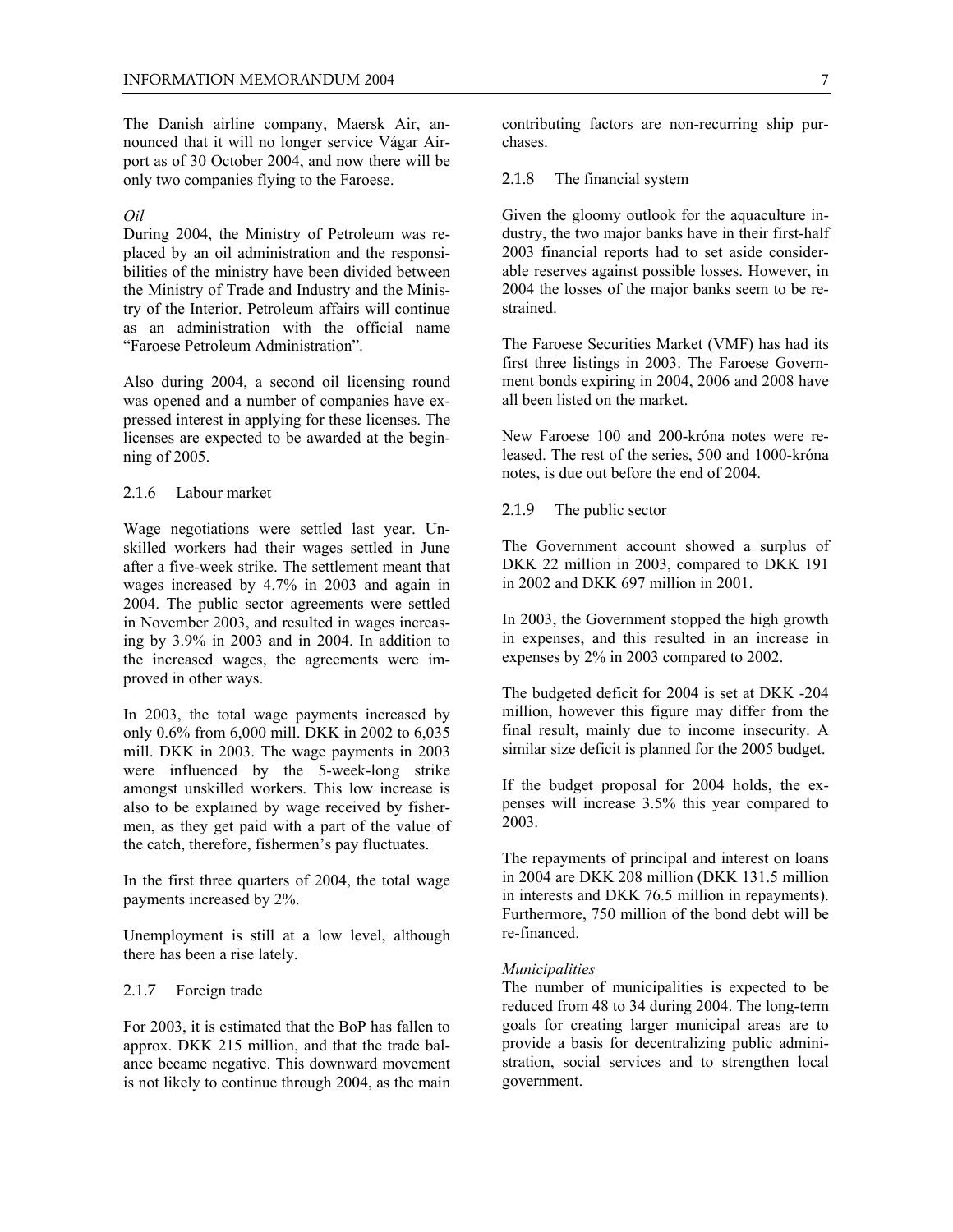The Danish airline company, Maersk Air, announced that it will no longer service Vágar Airport as of 30 October 2004, and now there will be only two companies flying to the Faroese.

#### *Oil*

During 2004, the Ministry of Petroleum was replaced by an oil administration and the responsibilities of the ministry have been divided between the Ministry of Trade and Industry and the Ministry of the Interior. Petroleum affairs will continue as an administration with the official name "Faroese Petroleum Administration".

Also during 2004, a second oil licensing round was opened and a number of companies have expressed interest in applying for these licenses. The licenses are expected to be awarded at the beginning of 2005.

#### 2.1.6 Labour market

Wage negotiations were settled last year. Unskilled workers had their wages settled in June after a five-week strike. The settlement meant that wages increased by 4.7% in 2003 and again in 2004. The public sector agreements were settled in November 2003, and resulted in wages increasing by 3.9% in 2003 and in 2004. In addition to the increased wages, the agreements were improved in other ways.

In 2003, the total wage payments increased by only 0.6% from 6,000 mill. DKK in 2002 to 6,035 mill. DKK in 2003. The wage payments in 2003 were influenced by the 5-week-long strike amongst unskilled workers. This low increase is also to be explained by wage received by fishermen, as they get paid with a part of the value of the catch, therefore, fishermen's pay fluctuates.

In the first three quarters of 2004, the total wage payments increased by 2%.

Unemployment is still at a low level, although there has been a rise lately.

#### 2.1.7 Foreign trade

For 2003, it is estimated that the BoP has fallen to approx. DKK 215 million, and that the trade balance became negative. This downward movement is not likely to continue through 2004, as the main

contributing factors are non-recurring ship purchases.

2.1.8 The financial system

Given the gloomy outlook for the aquaculture industry, the two major banks have in their first-half 2003 financial reports had to set aside considerable reserves against possible losses. However, in 2004 the losses of the major banks seem to be restrained.

The Faroese Securities Market (VMF) has had its first three listings in 2003. The Faroese Government bonds expiring in 2004, 2006 and 2008 have all been listed on the market.

New Faroese 100 and 200-króna notes were released. The rest of the series, 500 and 1000-króna notes, is due out before the end of 2004.

2.1.9 The public sector

The Government account showed a surplus of DKK 22 million in 2003, compared to DKK 191 in 2002 and DKK 697 million in 2001.

In 2003, the Government stopped the high growth in expenses, and this resulted in an increase in expenses by 2% in 2003 compared to 2002.

The budgeted deficit for 2004 is set at DKK -204 million, however this figure may differ from the final result, mainly due to income insecurity. A similar size deficit is planned for the 2005 budget.

If the budget proposal for 2004 holds, the expenses will increase 3.5% this year compared to 2003.

The repayments of principal and interest on loans in 2004 are DKK 208 million (DKK 131.5 million in interests and DKK 76.5 million in repayments). Furthermore, 750 million of the bond debt will be re-financed.

#### *Municipalities*

The number of municipalities is expected to be reduced from 48 to 34 during 2004. The long-term goals for creating larger municipal areas are to provide a basis for decentralizing public administration, social services and to strengthen local government.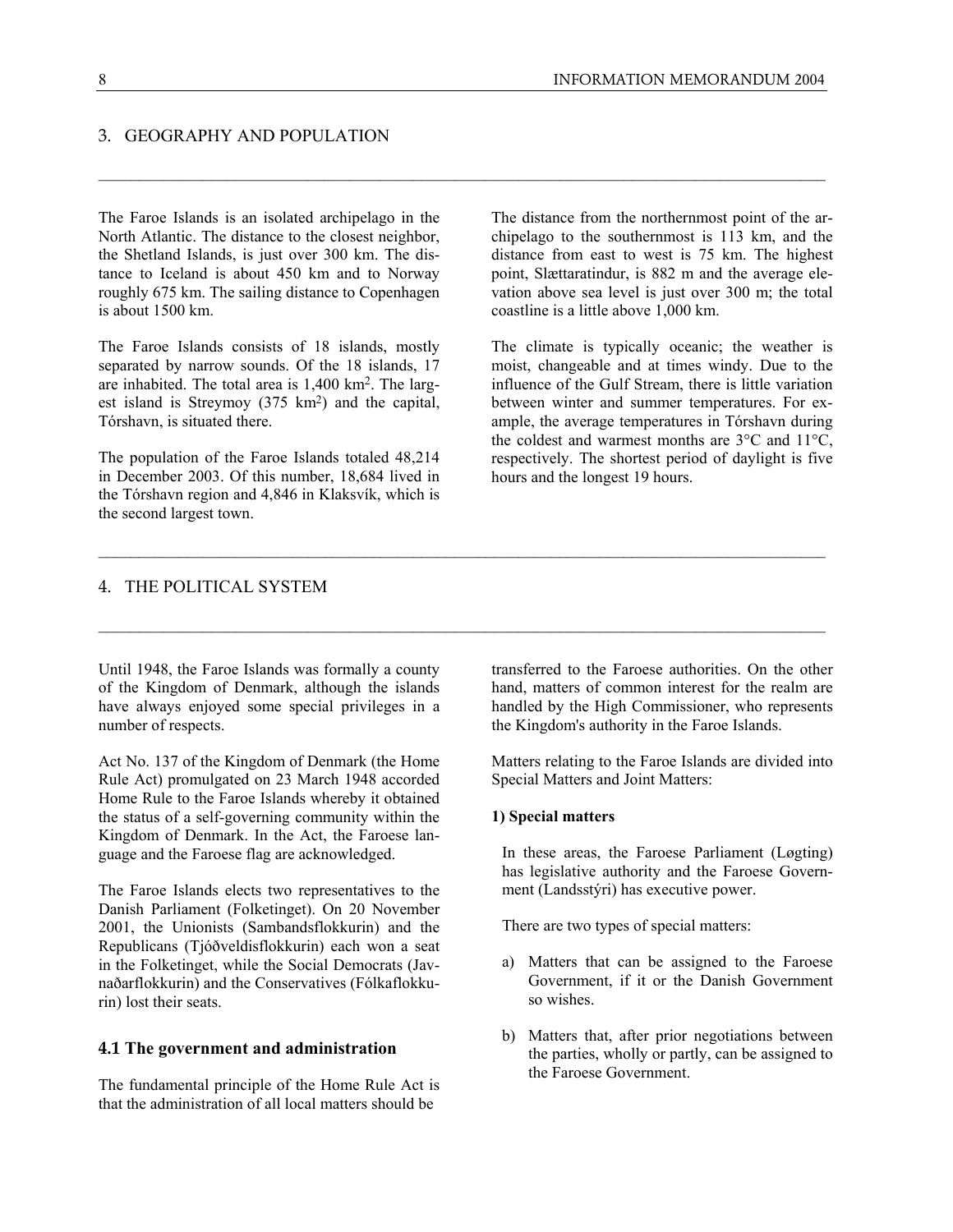# 3. GEOGRAPHY AND POPULATION

The Faroe Islands is an isolated archipelago in the North Atlantic. The distance to the closest neighbor, the Shetland Islands, is just over 300 km. The distance to Iceland is about 450 km and to Norway roughly 675 km. The sailing distance to Copenhagen is about 1500 km.

The Faroe Islands consists of 18 islands, mostly separated by narrow sounds. Of the 18 islands, 17 are inhabited. The total area is 1,400 km2. The largest island is Streymoy (375 km<sup>2</sup>) and the capital, Tórshavn, is situated there.

The population of the Faroe Islands totaled 48,214 in December 2003. Of this number, 18,684 lived in the Tórshavn region and 4,846 in Klaksvík, which is the second largest town.

The distance from the northernmost point of the archipelago to the southernmost is 113 km, and the distance from east to west is 75 km. The highest point, Slættaratindur, is 882 m and the average elevation above sea level is just over 300 m; the total coastline is a little above 1,000 km.

The climate is typically oceanic; the weather is moist, changeable and at times windy. Due to the influence of the Gulf Stream, there is little variation between winter and summer temperatures. For example, the average temperatures in Tórshavn during the coldest and warmest months are 3°C and 11°C, respectively. The shortest period of daylight is five hours and the longest 19 hours.

#### 4. THE POLITICAL SYSTEM

Until 1948, the Faroe Islands was formally a county of the Kingdom of Denmark, although the islands have always enjoyed some special privileges in a number of respects.

Act No. 137 of the Kingdom of Denmark (the Home Rule Act) promulgated on 23 March 1948 accorded Home Rule to the Faroe Islands whereby it obtained the status of a self-governing community within the Kingdom of Denmark. In the Act, the Faroese language and the Faroese flag are acknowledged.

The Faroe Islands elects two representatives to the Danish Parliament (Folketinget). On 20 November 2001, the Unionists (Sambandsflokkurin) and the Republicans (Tjóðveldisflokkurin) each won a seat in the Folketinget, while the Social Democrats (Javnaðarflokkurin) and the Conservatives (Fólkaflokkurin) lost their seats.

#### **4.1 The government and administration**

The fundamental principle of the Home Rule Act is that the administration of all local matters should be

transferred to the Faroese authorities. On the other hand, matters of common interest for the realm are handled by the High Commissioner, who represents the Kingdom's authority in the Faroe Islands.

Matters relating to the Faroe Islands are divided into Special Matters and Joint Matters:

#### **1) Special matters**

In these areas, the Faroese Parliament (Løgting) has legislative authority and the Faroese Government (Landsstýri) has executive power.

There are two types of special matters:

- a) Matters that can be assigned to the Faroese Government, if it or the Danish Government so wishes.
- b) Matters that, after prior negotiations between the parties, wholly or partly, can be assigned to the Faroese Government.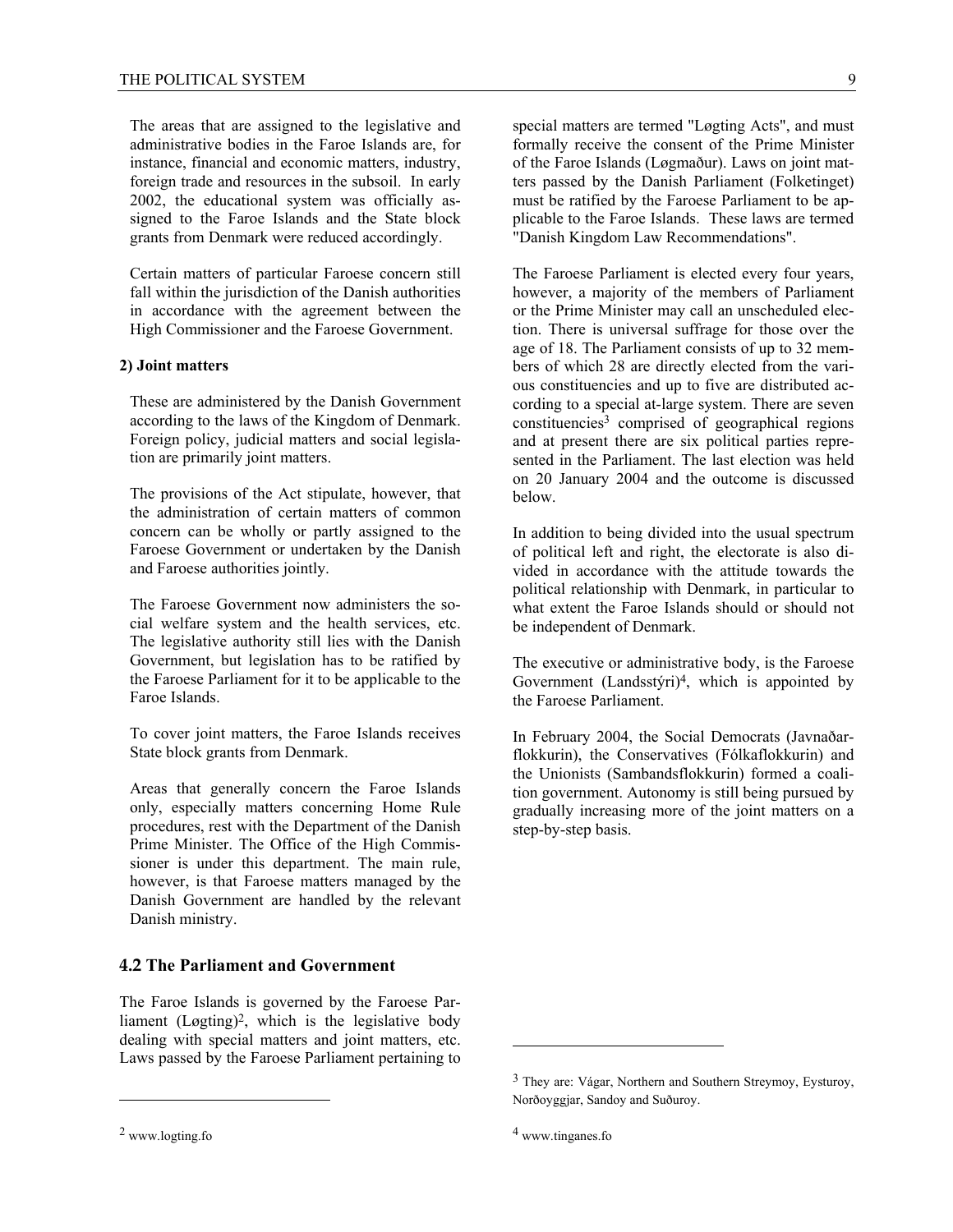The areas that are assigned to the legislative and administrative bodies in the Faroe Islands are, for instance, financial and economic matters, industry, foreign trade and resources in the subsoil. In early 2002, the educational system was officially assigned to the Faroe Islands and the State block grants from Denmark were reduced accordingly.

Certain matters of particular Faroese concern still fall within the jurisdiction of the Danish authorities in accordance with the agreement between the High Commissioner and the Faroese Government.

#### **2) Joint matters**

These are administered by the Danish Government according to the laws of the Kingdom of Denmark. Foreign policy, judicial matters and social legislation are primarily joint matters.

The provisions of the Act stipulate, however, that the administration of certain matters of common concern can be wholly or partly assigned to the Faroese Government or undertaken by the Danish and Faroese authorities jointly.

The Faroese Government now administers the social welfare system and the health services, etc. The legislative authority still lies with the Danish Government, but legislation has to be ratified by the Faroese Parliament for it to be applicable to the Faroe Islands.

To cover joint matters, the Faroe Islands receives State block grants from Denmark.

Areas that generally concern the Faroe Islands only, especially matters concerning Home Rule procedures, rest with the Department of the Danish Prime Minister. The Office of the High Commissioner is under this department. The main rule, however, is that Faroese matters managed by the Danish Government are handled by the relevant Danish ministry.

# **4.2 The Parliament and Government**

The Faroe Islands is governed by the Faroese Parliament (Løgting)2, which is the legislative body dealing with special matters and joint matters, etc. Laws passed by the Faroese Parliament pertaining to

 $\overline{a}$ 

special matters are termed "Løgting Acts", and must formally receive the consent of the Prime Minister of the Faroe Islands (Løgmaður). Laws on joint matters passed by the Danish Parliament (Folketinget) must be ratified by the Faroese Parliament to be applicable to the Faroe Islands. These laws are termed "Danish Kingdom Law Recommendations".

The Faroese Parliament is elected every four years, however, a majority of the members of Parliament or the Prime Minister may call an unscheduled election. There is universal suffrage for those over the age of 18. The Parliament consists of up to 32 members of which 28 are directly elected from the various constituencies and up to five are distributed according to a special at-large system. There are seven  $constituencies<sup>3</sup>$  comprised of geographical regions and at present there are six political parties represented in the Parliament. The last election was held on 20 January 2004 and the outcome is discussed below.

In addition to being divided into the usual spectrum of political left and right, the electorate is also divided in accordance with the attitude towards the political relationship with Denmark, in particular to what extent the Faroe Islands should or should not be independent of Denmark.

The executive or administrative body, is the Faroese Government (Landsstýri)4, which is appointed by the Faroese Parliament.

In February 2004, the Social Democrats (Javnaðarflokkurin), the Conservatives (Fólkaflokkurin) and the Unionists (Sambandsflokkurin) formed a coalition government. Autonomy is still being pursued by gradually increasing more of the joint matters on a step-by-step basis.

 $\overline{a}$ 

<sup>2</sup> www.logting.fo

<sup>3</sup> They are: Vágar, Northern and Southern Streymoy, Eysturoy, Norðoyggjar, Sandoy and Suðuroy.

<sup>4</sup> www.tinganes.fo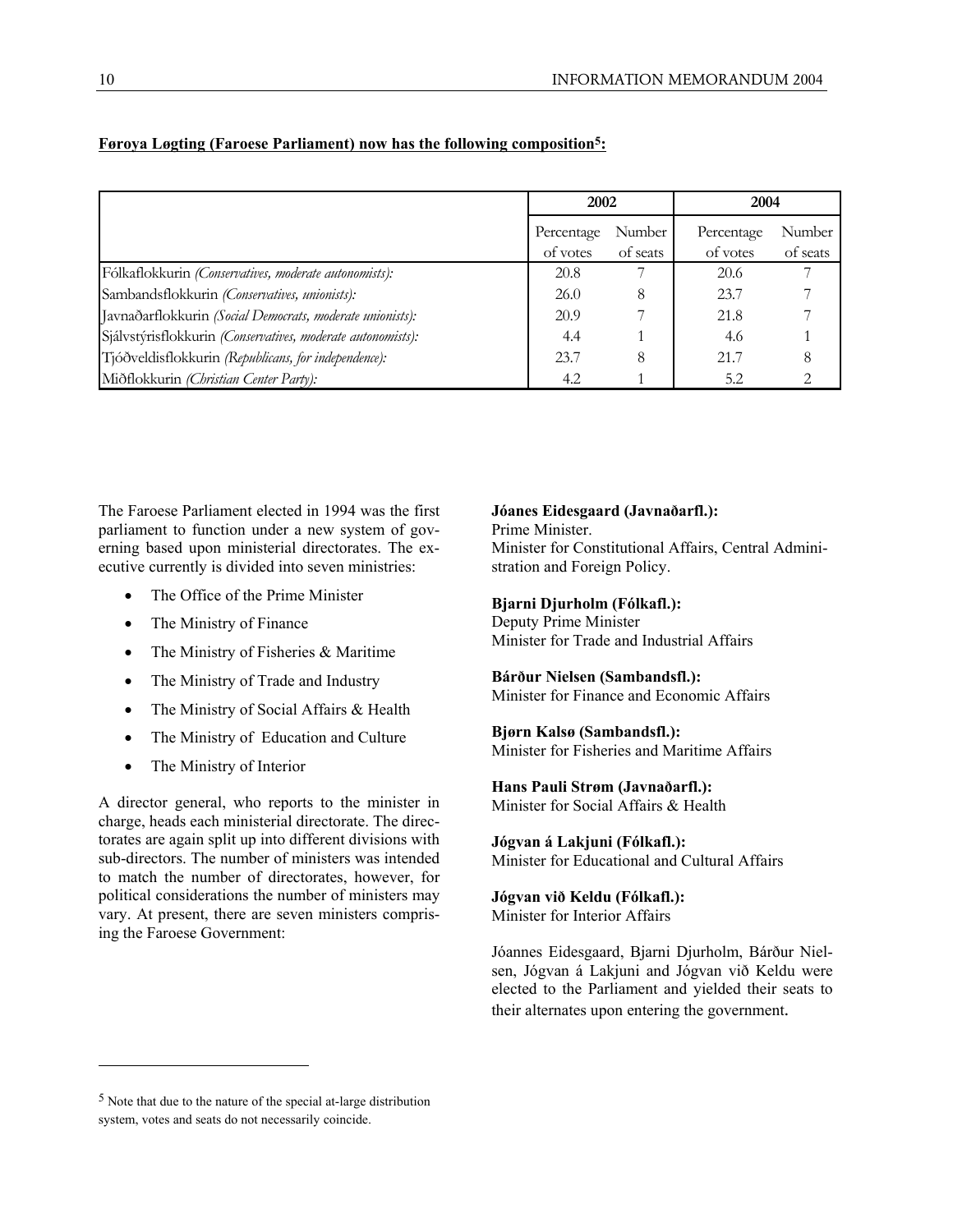|                                                             |                        | 2002               |                        | 2004               |  |
|-------------------------------------------------------------|------------------------|--------------------|------------------------|--------------------|--|
|                                                             | Percentage<br>of votes | Number<br>of seats | Percentage<br>of votes | Number<br>of seats |  |
| Fólkaflokkurin (Conservatives, moderate autonomists):       | 20.8                   |                    | 20.6                   |                    |  |
| Sambandsflokkurin (Conservatives, unionists):               | 26.0                   | 8                  | 23.7                   |                    |  |
| Javnaðarflokkurin (Social Democrats, moderate unionists):   | 20.9                   |                    | 21.8                   |                    |  |
| Sjálvstýrisflokkurin (Conservatives, moderate autonomists): | 4.4                    |                    | 4.6                    |                    |  |
| Tjóðveldisflokkurin (Republicans, for independence):        | 23.7                   | 8                  | 21.7                   | 8                  |  |
| Miðflokkurin (Christian Center Party):                      | 4.2                    |                    | 5.2                    |                    |  |

# **Føroya Løgting (Faroese Parliament) now has the following composition5:**

The Faroese Parliament elected in 1994 was the first parliament to function under a new system of governing based upon ministerial directorates. The executive currently is divided into seven ministries:

- The Office of the Prime Minister
- The Ministry of Finance
- The Ministry of Fisheries & Maritime
- The Ministry of Trade and Industry
- The Ministry of Social Affairs & Health
- The Ministry of Education and Culture
- The Ministry of Interior

l

A director general, who reports to the minister in charge, heads each ministerial directorate. The directorates are again split up into different divisions with sub-directors. The number of ministers was intended to match the number of directorates, however, for political considerations the number of ministers may vary. At present, there are seven ministers comprising the Faroese Government:

#### **Jóanes Eidesgaard (Javnaðarfl.):**

Prime Minister.

Minister for Constitutional Affairs, Central Administration and Foreign Policy.

#### **Bjarni Djurholm (Fólkafl.):**

Deputy Prime Minister Minister for Trade and Industrial Affairs

#### **Bárður Nielsen (Sambandsfl.):**

Minister for Finance and Economic Affairs

# **Bjørn Kalsø (Sambandsfl.):**

Minister for Fisheries and Maritime Affairs

# **Hans Pauli Strøm (Javnaðarfl.):**

Minister for Social Affairs & Health

# **Jógvan á Lakjuni (Fólkafl.):**

Minister for Educational and Cultural Affairs

# **Jógvan við Keldu (Fólkafl.):**

Minister for Interior Affairs

Jóannes Eidesgaard, Bjarni Djurholm, Bárður Nielsen, Jógvan á Lakjuni and Jógvan við Keldu were elected to the Parliament and yielded their seats to their alternates upon entering the government.

<sup>5</sup> Note that due to the nature of the special at-large distribution system, votes and seats do not necessarily coincide.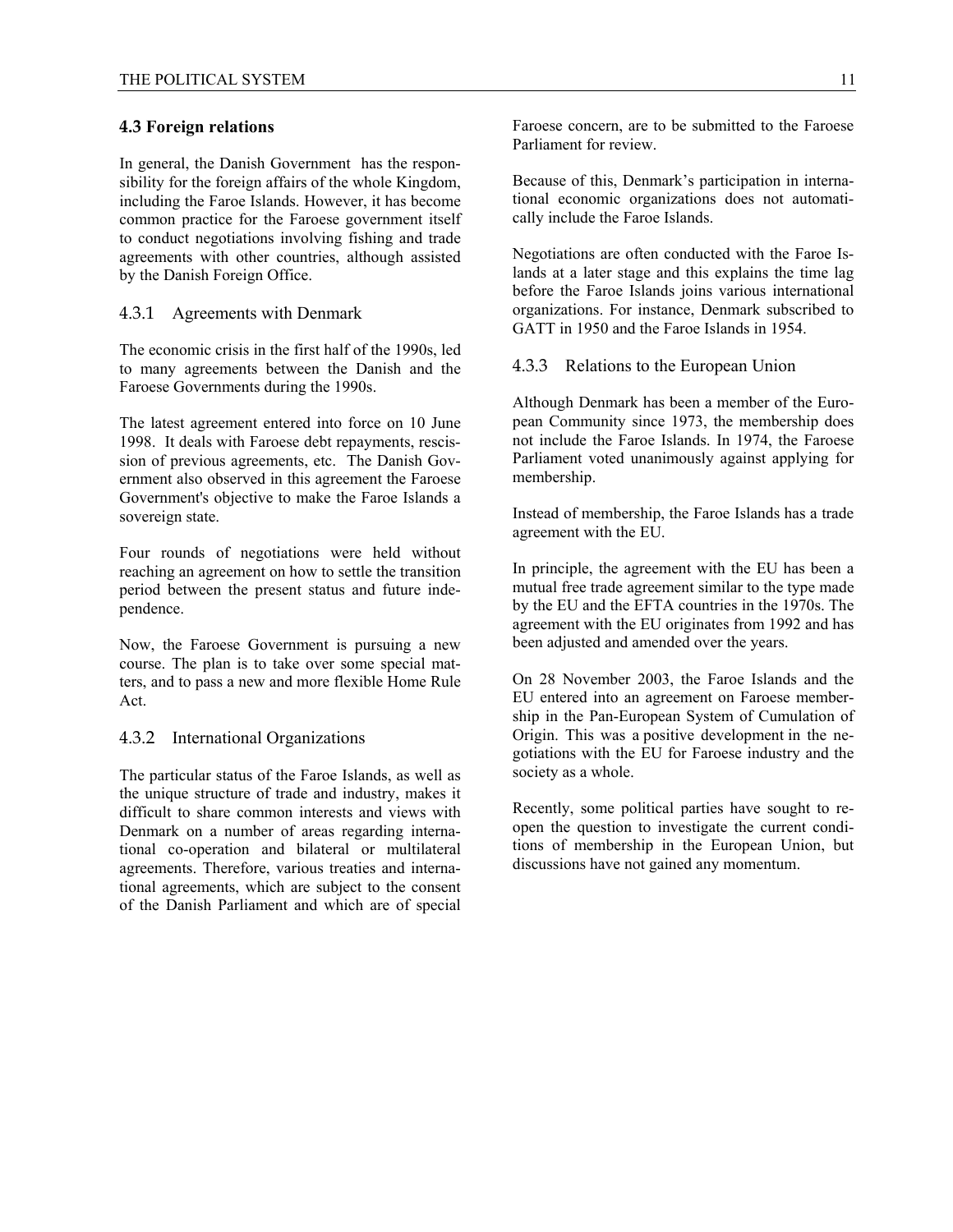#### **4.3 Foreign relations**

In general, the Danish Government has the responsibility for the foreign affairs of the whole Kingdom, including the Faroe Islands. However, it has become common practice for the Faroese government itself to conduct negotiations involving fishing and trade agreements with other countries, although assisted by the Danish Foreign Office.

#### 4.3.1 Agreements with Denmark

The economic crisis in the first half of the 1990s, led to many agreements between the Danish and the Faroese Governments during the 1990s.

The latest agreement entered into force on 10 June 1998. It deals with Faroese debt repayments, rescission of previous agreements, etc. The Danish Government also observed in this agreement the Faroese Government's objective to make the Faroe Islands a sovereign state.

Four rounds of negotiations were held without reaching an agreement on how to settle the transition period between the present status and future independence.

Now, the Faroese Government is pursuing a new course. The plan is to take over some special matters, and to pass a new and more flexible Home Rule Act.

#### 4.3.2 International Organizations

The particular status of the Faroe Islands, as well as the unique structure of trade and industry, makes it difficult to share common interests and views with Denmark on a number of areas regarding international co-operation and bilateral or multilateral agreements. Therefore, various treaties and international agreements, which are subject to the consent of the Danish Parliament and which are of special

Because of this, Denmark's participation in international economic organizations does not automatically include the Faroe Islands.

Negotiations are often conducted with the Faroe Islands at a later stage and this explains the time lag before the Faroe Islands joins various international organizations. For instance, Denmark subscribed to GATT in 1950 and the Faroe Islands in 1954.

4.3.3 Relations to the European Union

Although Denmark has been a member of the European Community since 1973, the membership does not include the Faroe Islands. In 1974, the Faroese Parliament voted unanimously against applying for membership.

Instead of membership, the Faroe Islands has a trade agreement with the EU.

In principle, the agreement with the EU has been a mutual free trade agreement similar to the type made by the EU and the EFTA countries in the 1970s. The agreement with the EU originates from 1992 and has been adjusted and amended over the years.

On 28 November 2003, the Faroe Islands and the EU entered into an agreement on Faroese membership in the Pan-European System of Cumulation of Origin. This was a positive development in the negotiations with the EU for Faroese industry and the society as a whole.

Recently, some political parties have sought to reopen the question to investigate the current conditions of membership in the European Union, but discussions have not gained any momentum.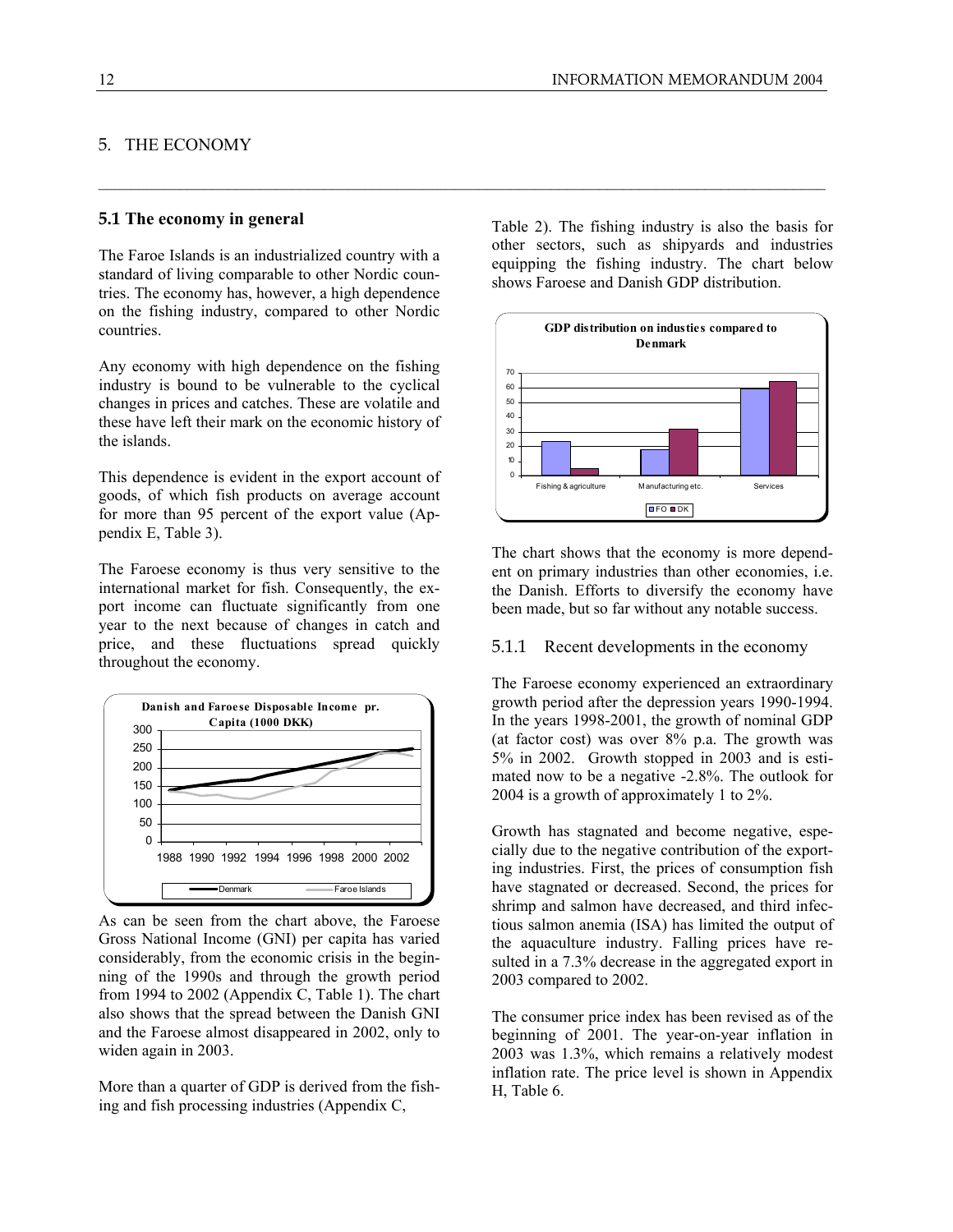# 5. THE ECONOMY

#### **5.1 The economy in general**

The Faroe Islands is an industrialized country with a standard of living comparable to other Nordic countries. The economy has, however, a high dependence on the fishing industry, compared to other Nordic countries.

Any economy with high dependence on the fishing industry is bound to be vulnerable to the cyclical changes in prices and catches. These are volatile and these have left their mark on the economic history of the islands.

This dependence is evident in the export account of goods, of which fish products on average account for more than 95 percent of the export value (Appendix E, Table 3).

The Faroese economy is thus very sensitive to the international market for fish. Consequently, the export income can fluctuate significantly from one year to the next because of changes in catch and price, and these fluctuations spread quickly throughout the economy.



As can be seen from the chart above, the Faroese Gross National Income (GNI) per capita has varied considerably, from the economic crisis in the beginning of the 1990s and through the growth period from 1994 to 2002 (Appendix C, Table 1). The chart also shows that the spread between the Danish GNI and the Faroese almost disappeared in 2002, only to widen again in 2003.

More than a quarter of GDP is derived from the fishing and fish processing industries (Appendix C,

Table 2). The fishing industry is also the basis for other sectors, such as shipyards and industries equipping the fishing industry. The chart below shows Faroese and Danish GDP distribution.

 $\_$  , and the state of the state of the state of the state of the state of the state of the state of the state of the state of the state of the state of the state of the state of the state of the state of the state of the



The chart shows that the economy is more dependent on primary industries than other economies, i.e. the Danish. Efforts to diversify the economy have been made, but so far without any notable success.

#### 5.1.1 Recent developments in the economy

The Faroese economy experienced an extraordinary growth period after the depression years 1990-1994. In the years 1998-2001, the growth of nominal GDP (at factor cost) was over  $8\%$  p.a. The growth was 5% in 2002. Growth stopped in 2003 and is estimated now to be a negative -2.8%. The outlook for 2004 is a growth of approximately 1 to 2%.

Growth has stagnated and become negative, especially due to the negative contribution of the exporting industries. First, the prices of consumption fish have stagnated or decreased. Second, the prices for shrimp and salmon have decreased, and third infectious salmon anemia (ISA) has limited the output of the aquaculture industry. Falling prices have resulted in a 7.3% decrease in the aggregated export in 2003 compared to 2002.

The consumer price index has been revised as of the beginning of 2001. The year-on-year inflation in 2003 was 1.3%, which remains a relatively modest inflation rate. The price level is shown in Appendix H, Table 6.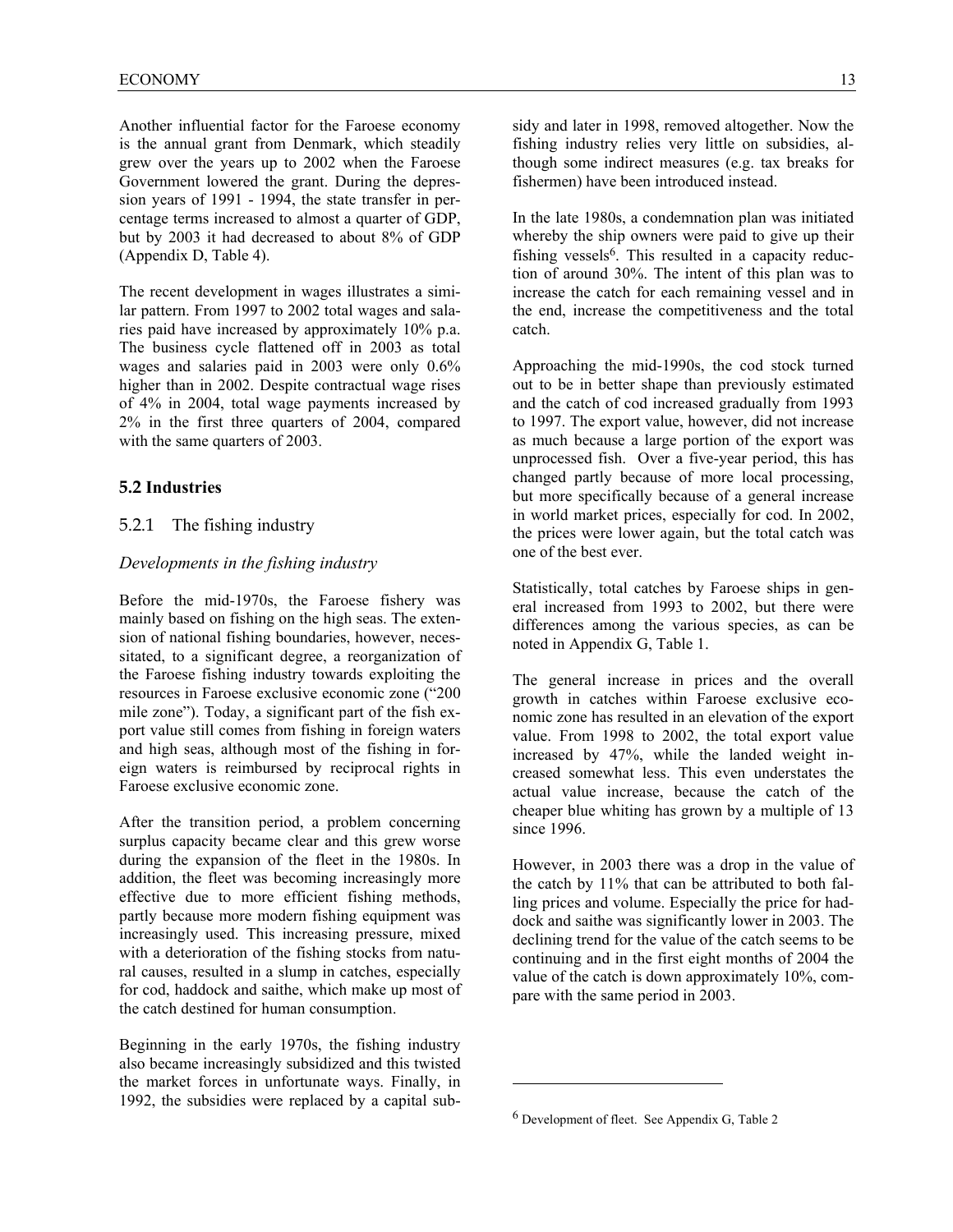Another influential factor for the Faroese economy is the annual grant from Denmark, which steadily grew over the years up to 2002 when the Faroese Government lowered the grant. During the depression years of 1991 - 1994, the state transfer in percentage terms increased to almost a quarter of GDP, but by 2003 it had decreased to about 8% of GDP (Appendix D, Table 4).

The recent development in wages illustrates a similar pattern. From 1997 to 2002 total wages and salaries paid have increased by approximately 10% p.a. The business cycle flattened off in 2003 as total wages and salaries paid in 2003 were only 0.6% higher than in 2002. Despite contractual wage rises of 4% in 2004, total wage payments increased by 2% in the first three quarters of 2004, compared with the same quarters of 2003.

# **5.2 Industries**

#### 5.2.1 The fishing industry

#### *Developments in the fishing industry*

Before the mid-1970s, the Faroese fishery was mainly based on fishing on the high seas. The extension of national fishing boundaries, however, necessitated, to a significant degree, a reorganization of the Faroese fishing industry towards exploiting the resources in Faroese exclusive economic zone ("200 mile zone"). Today, a significant part of the fish export value still comes from fishing in foreign waters and high seas, although most of the fishing in foreign waters is reimbursed by reciprocal rights in Faroese exclusive economic zone.

After the transition period, a problem concerning surplus capacity became clear and this grew worse during the expansion of the fleet in the 1980s. In addition, the fleet was becoming increasingly more effective due to more efficient fishing methods, partly because more modern fishing equipment was increasingly used. This increasing pressure, mixed with a deterioration of the fishing stocks from natural causes, resulted in a slump in catches, especially for cod, haddock and saithe, which make up most of the catch destined for human consumption.

Beginning in the early 1970s, the fishing industry also became increasingly subsidized and this twisted the market forces in unfortunate ways. Finally, in 1992, the subsidies were replaced by a capital subIn the late 1980s, a condemnation plan was initiated whereby the ship owners were paid to give up their fishing vessels<sup>6</sup>. This resulted in a capacity reduction of around 30%. The intent of this plan was to increase the catch for each remaining vessel and in the end, increase the competitiveness and the total catch.

Approaching the mid-1990s, the cod stock turned out to be in better shape than previously estimated and the catch of cod increased gradually from 1993 to 1997. The export value, however, did not increase as much because a large portion of the export was unprocessed fish. Over a five-year period, this has changed partly because of more local processing, but more specifically because of a general increase in world market prices, especially for cod. In 2002, the prices were lower again, but the total catch was one of the best ever.

Statistically, total catches by Faroese ships in general increased from 1993 to 2002, but there were differences among the various species, as can be noted in Appendix G, Table 1.

The general increase in prices and the overall growth in catches within Faroese exclusive economic zone has resulted in an elevation of the export value. From 1998 to 2002, the total export value increased by 47%, while the landed weight increased somewhat less. This even understates the actual value increase, because the catch of the cheaper blue whiting has grown by a multiple of 13 since 1996.

However, in 2003 there was a drop in the value of the catch by 11% that can be attributed to both falling prices and volume. Especially the price for haddock and saithe was significantly lower in 2003. The declining trend for the value of the catch seems to be continuing and in the first eight months of 2004 the value of the catch is down approximately 10%, compare with the same period in 2003.

 $\overline{a}$ 

<sup>6</sup> Development of fleet. See Appendix G, Table 2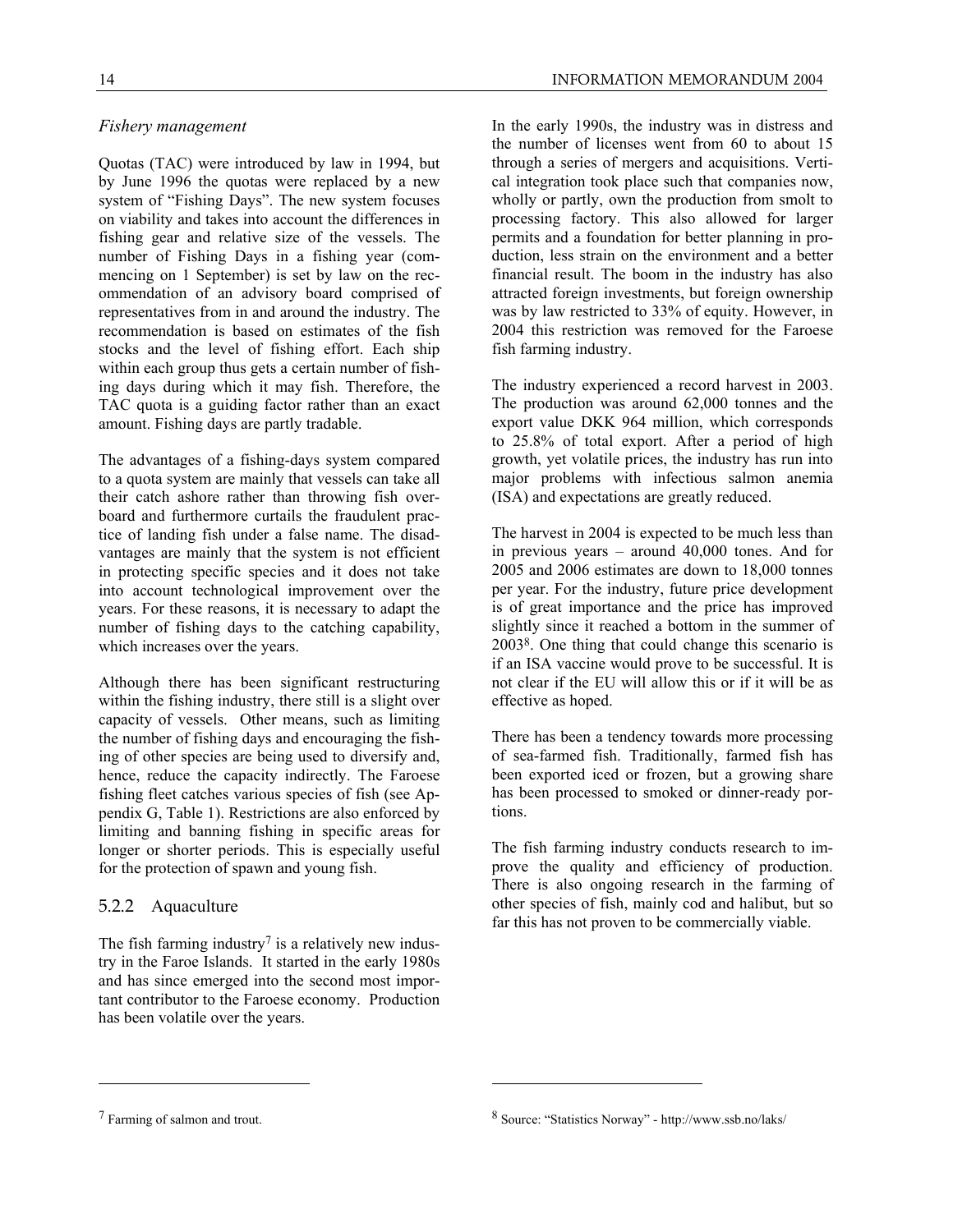# *Fishery management*

Quotas (TAC) were introduced by law in 1994, but by June 1996 the quotas were replaced by a new system of "Fishing Days". The new system focuses on viability and takes into account the differences in fishing gear and relative size of the vessels. The number of Fishing Days in a fishing year (commencing on 1 September) is set by law on the recommendation of an advisory board comprised of representatives from in and around the industry. The recommendation is based on estimates of the fish stocks and the level of fishing effort. Each ship within each group thus gets a certain number of fishing days during which it may fish. Therefore, the TAC quota is a guiding factor rather than an exact amount. Fishing days are partly tradable.

The advantages of a fishing-days system compared to a quota system are mainly that vessels can take all their catch ashore rather than throwing fish overboard and furthermore curtails the fraudulent practice of landing fish under a false name. The disadvantages are mainly that the system is not efficient in protecting specific species and it does not take into account technological improvement over the years. For these reasons, it is necessary to adapt the number of fishing days to the catching capability, which increases over the years.

Although there has been significant restructuring within the fishing industry, there still is a slight over capacity of vessels. Other means, such as limiting the number of fishing days and encouraging the fishing of other species are being used to diversify and, hence, reduce the capacity indirectly. The Faroese fishing fleet catches various species of fish (see Appendix G, Table 1). Restrictions are also enforced by limiting and banning fishing in specific areas for longer or shorter periods. This is especially useful for the protection of spawn and young fish.

# 5.2.2 Aquaculture

The fish farming industry<sup>7</sup> is a relatively new industry in the Faroe Islands. It started in the early 1980s and has since emerged into the second most important contributor to the Faroese economy. Production has been volatile over the years.

In the early 1990s, the industry was in distress and the number of licenses went from 60 to about 15 through a series of mergers and acquisitions. Vertical integration took place such that companies now, wholly or partly, own the production from smolt to processing factory. This also allowed for larger permits and a foundation for better planning in production, less strain on the environment and a better financial result. The boom in the industry has also attracted foreign investments, but foreign ownership was by law restricted to 33% of equity. However, in 2004 this restriction was removed for the Faroese fish farming industry.

The industry experienced a record harvest in 2003. The production was around 62,000 tonnes and the export value DKK 964 million, which corresponds to 25.8% of total export. After a period of high growth, yet volatile prices, the industry has run into major problems with infectious salmon anemia (ISA) and expectations are greatly reduced.

The harvest in 2004 is expected to be much less than in previous years – around 40,000 tones. And for 2005 and 2006 estimates are down to 18,000 tonnes per year. For the industry, future price development is of great importance and the price has improved slightly since it reached a bottom in the summer of 20038. One thing that could change this scenario is if an ISA vaccine would prove to be successful. It is not clear if the EU will allow this or if it will be as effective as hoped.

There has been a tendency towards more processing of sea-farmed fish. Traditionally, farmed fish has been exported iced or frozen, but a growing share has been processed to smoked or dinner-ready portions.

The fish farming industry conducts research to improve the quality and efficiency of production. There is also ongoing research in the farming of other species of fish, mainly cod and halibut, but so far this has not proven to be commercially viable.

-

-

<sup>7</sup> Farming of salmon and trout.

<sup>8</sup> Source: "Statistics Norway" - http://www.ssb.no/laks/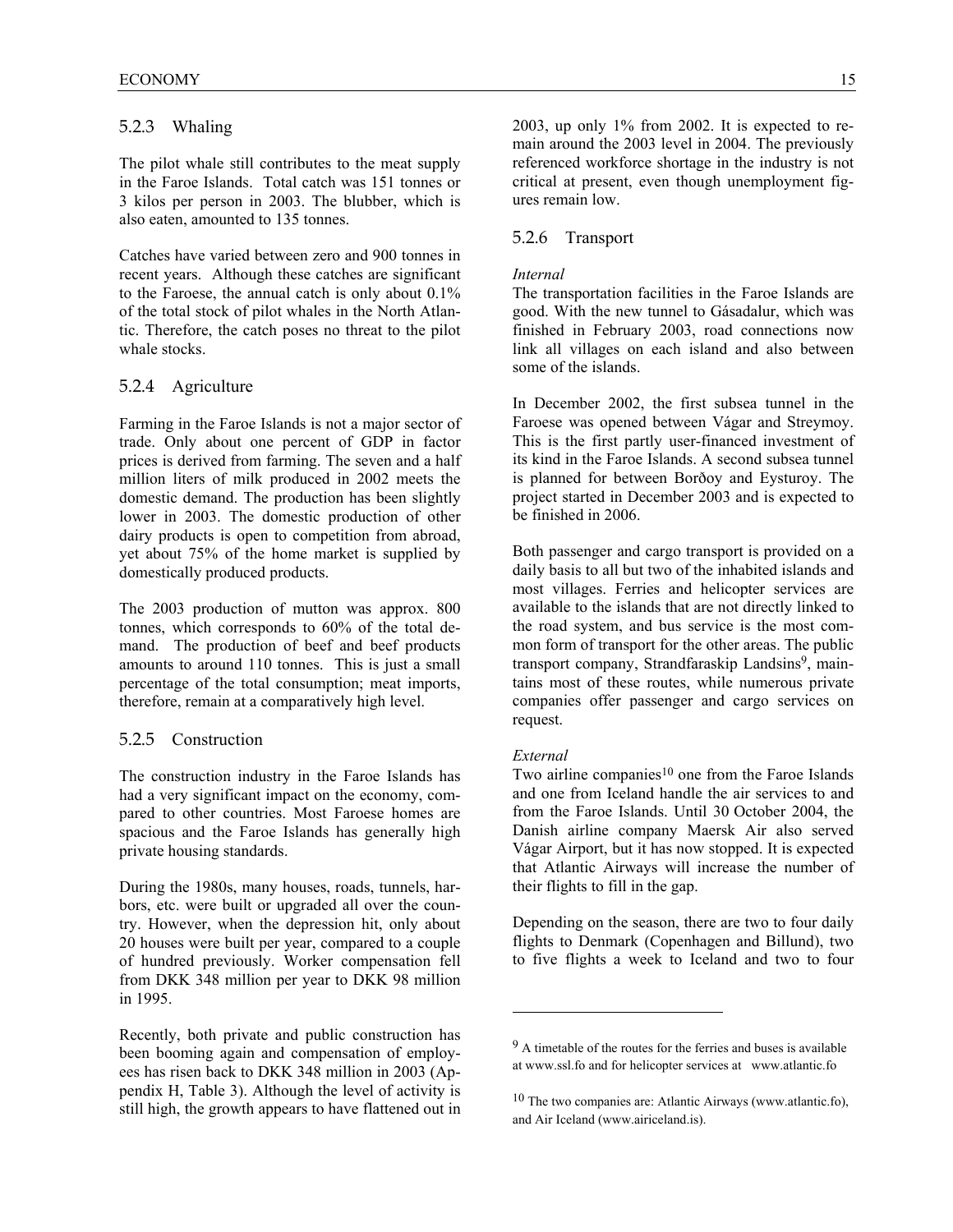# 5.2.3 Whaling

The pilot whale still contributes to the meat supply in the Faroe Islands. Total catch was 151 tonnes or 3 kilos per person in 2003. The blubber, which is also eaten, amounted to 135 tonnes.

Catches have varied between zero and 900 tonnes in recent years. Although these catches are significant to the Faroese, the annual catch is only about 0.1% of the total stock of pilot whales in the North Atlantic. Therefore, the catch poses no threat to the pilot whale stocks.

# 5.2.4 Agriculture

Farming in the Faroe Islands is not a major sector of trade. Only about one percent of GDP in factor prices is derived from farming. The seven and a half million liters of milk produced in 2002 meets the domestic demand. The production has been slightly lower in 2003. The domestic production of other dairy products is open to competition from abroad, yet about 75% of the home market is supplied by domestically produced products.

The 2003 production of mutton was approx. 800 tonnes, which corresponds to 60% of the total demand. The production of beef and beef products amounts to around 110 tonnes. This is just a small percentage of the total consumption; meat imports, therefore, remain at a comparatively high level.

# 5.2.5 Construction

The construction industry in the Faroe Islands has had a very significant impact on the economy, compared to other countries. Most Faroese homes are spacious and the Faroe Islands has generally high private housing standards.

During the 1980s, many houses, roads, tunnels, harbors, etc. were built or upgraded all over the country. However, when the depression hit, only about 20 houses were built per year, compared to a couple of hundred previously. Worker compensation fell from DKK 348 million per year to DKK 98 million in 1995.

Recently, both private and public construction has been booming again and compensation of employees has risen back to DKK 348 million in 2003 (Appendix H, Table 3). Although the level of activity is still high, the growth appears to have flattened out in 2003, up only 1% from 2002. It is expected to remain around the 2003 level in 2004. The previously referenced workforce shortage in the industry is not critical at present, even though unemployment figures remain low.

# 5.2.6 Transport

#### *Internal*

The transportation facilities in the Faroe Islands are good. With the new tunnel to Gásadalur, which was finished in February 2003, road connections now link all villages on each island and also between some of the islands.

In December 2002, the first subsea tunnel in the Faroese was opened between Vágar and Streymoy. This is the first partly user-financed investment of its kind in the Faroe Islands. A second subsea tunnel is planned for between Borðoy and Eysturoy. The project started in December 2003 and is expected to be finished in 2006.

Both passenger and cargo transport is provided on a daily basis to all but two of the inhabited islands and most villages. Ferries and helicopter services are available to the islands that are not directly linked to the road system, and bus service is the most common form of transport for the other areas. The public transport company, Strandfaraskip Landsins<sup>9</sup>, maintains most of these routes, while numerous private companies offer passenger and cargo services on request.

#### *External*

l

Two airline companies $10$  one from the Faroe Islands and one from Iceland handle the air services to and from the Faroe Islands. Until 30 October 2004, the Danish airline company Maersk Air also served Vágar Airport, but it has now stopped. It is expected that Atlantic Airways will increase the number of their flights to fill in the gap.

Depending on the season, there are two to four daily flights to Denmark (Copenhagen and Billund), two to five flights a week to Iceland and two to four

<sup>9</sup> A timetable of the routes for the ferries and buses is available at www.ssl.fo and for helicopter services at www.atlantic.fo

<sup>10</sup> The two companies are: Atlantic Airways (www.atlantic.fo), and Air Iceland (www.airiceland.is).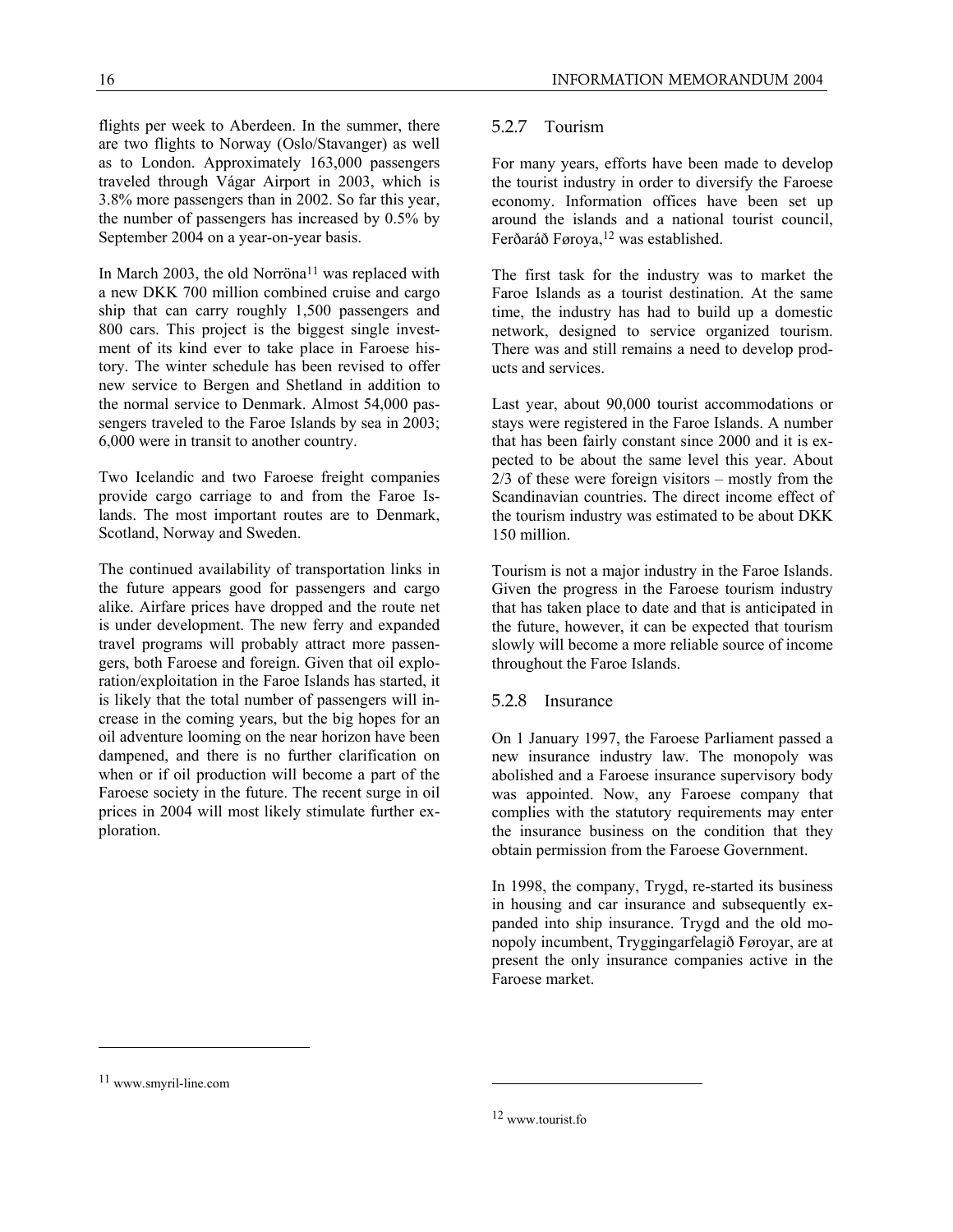flights per week to Aberdeen. In the summer, there are two flights to Norway (Oslo/Stavanger) as well as to London. Approximately 163,000 passengers traveled through Vágar Airport in 2003, which is 3.8% more passengers than in 2002. So far this year, the number of passengers has increased by 0.5% by September 2004 on a year-on-year basis.

In March 2003, the old Norröna<sup>11</sup> was replaced with a new DKK 700 million combined cruise and cargo ship that can carry roughly 1,500 passengers and 800 cars. This project is the biggest single investment of its kind ever to take place in Faroese history. The winter schedule has been revised to offer new service to Bergen and Shetland in addition to the normal service to Denmark. Almost 54,000 passengers traveled to the Faroe Islands by sea in 2003; 6,000 were in transit to another country.

Two Icelandic and two Faroese freight companies provide cargo carriage to and from the Faroe Islands. The most important routes are to Denmark, Scotland, Norway and Sweden.

The continued availability of transportation links in the future appears good for passengers and cargo alike. Airfare prices have dropped and the route net is under development. The new ferry and expanded travel programs will probably attract more passengers, both Faroese and foreign. Given that oil exploration/exploitation in the Faroe Islands has started, it is likely that the total number of passengers will increase in the coming years, but the big hopes for an oil adventure looming on the near horizon have been dampened, and there is no further clarification on when or if oil production will become a part of the Faroese society in the future. The recent surge in oil prices in 2004 will most likely stimulate further exploration.

# 5.2.7 Tourism

For many years, efforts have been made to develop the tourist industry in order to diversify the Faroese economy. Information offices have been set up around the islands and a national tourist council, Ferðaráð Føroya,<sup>12</sup> was established.

The first task for the industry was to market the Faroe Islands as a tourist destination. At the same time, the industry has had to build up a domestic network, designed to service organized tourism. There was and still remains a need to develop products and services.

Last year, about 90,000 tourist accommodations or stays were registered in the Faroe Islands. A number that has been fairly constant since 2000 and it is expected to be about the same level this year. About 2/3 of these were foreign visitors – mostly from the Scandinavian countries. The direct income effect of the tourism industry was estimated to be about DKK 150 million.

Tourism is not a major industry in the Faroe Islands. Given the progress in the Faroese tourism industry that has taken place to date and that is anticipated in the future, however, it can be expected that tourism slowly will become a more reliable source of income throughout the Faroe Islands.

# 5.2.8 Insurance

On 1 January 1997, the Faroese Parliament passed a new insurance industry law. The monopoly was abolished and a Faroese insurance supervisory body was appointed. Now, any Faroese company that complies with the statutory requirements may enter the insurance business on the condition that they obtain permission from the Faroese Government.

In 1998, the company, Trygd, re-started its business in housing and car insurance and subsequently expanded into ship insurance. Trygd and the old monopoly incumbent, Tryggingarfelagið Føroyar, are at present the only insurance companies active in the Faroese market.

<u>.</u>

-

<sup>11</sup> www.smyril-line.com

<sup>12</sup> www.tourist.fo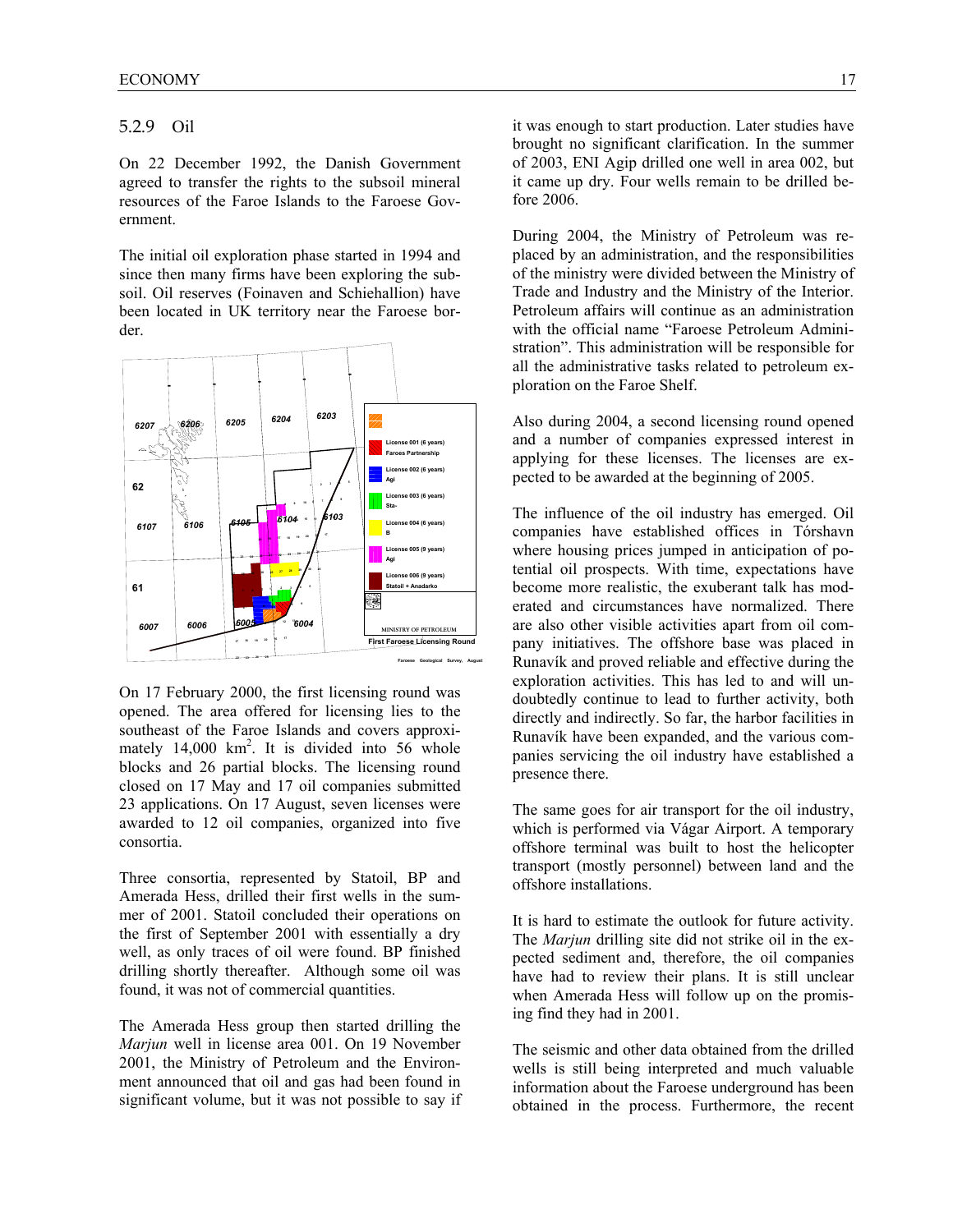# 5.2.9 Oil

On 22 December 1992, the Danish Government agreed to transfer the rights to the subsoil mineral resources of the Faroe Islands to the Faroese Government.

The initial oil exploration phase started in 1994 and since then many firms have been exploring the subsoil. Oil reserves (Foinaven and Schiehallion) have been located in UK territory near the Faroese border.



On 17 February 2000, the first licensing round was opened. The area offered for licensing lies to the southeast of the Faroe Islands and covers approximately 14,000 km<sup>2</sup>. It is divided into 56 whole blocks and 26 partial blocks. The licensing round closed on 17 May and 17 oil companies submitted 23 applications. On 17 August, seven licenses were awarded to 12 oil companies, organized into five consortia.

Three consortia, represented by Statoil, BP and Amerada Hess, drilled their first wells in the summer of 2001. Statoil concluded their operations on the first of September 2001 with essentially a dry well, as only traces of oil were found. BP finished drilling shortly thereafter. Although some oil was found, it was not of commercial quantities.

The Amerada Hess group then started drilling the *Marjun* well in license area 001. On 19 November 2001, the Ministry of Petroleum and the Environment announced that oil and gas had been found in significant volume, but it was not possible to say if it was enough to start production. Later studies have brought no significant clarification. In the summer of 2003, ENI Agip drilled one well in area 002, but it came up dry. Four wells remain to be drilled before 2006.

During 2004, the Ministry of Petroleum was replaced by an administration, and the responsibilities of the ministry were divided between the Ministry of Trade and Industry and the Ministry of the Interior. Petroleum affairs will continue as an administration with the official name "Faroese Petroleum Administration". This administration will be responsible for all the administrative tasks related to petroleum exploration on the Faroe Shelf.

Also during 2004, a second licensing round opened and a number of companies expressed interest in applying for these licenses. The licenses are expected to be awarded at the beginning of 2005.

The influence of the oil industry has emerged. Oil companies have established offices in Tórshavn where housing prices jumped in anticipation of potential oil prospects. With time, expectations have become more realistic, the exuberant talk has moderated and circumstances have normalized. There are also other visible activities apart from oil company initiatives. The offshore base was placed in Runavík and proved reliable and effective during the exploration activities. This has led to and will undoubtedly continue to lead to further activity, both directly and indirectly. So far, the harbor facilities in Runavík have been expanded, and the various companies servicing the oil industry have established a presence there.

The same goes for air transport for the oil industry, which is performed via Vágar Airport. A temporary offshore terminal was built to host the helicopter transport (mostly personnel) between land and the offshore installations.

It is hard to estimate the outlook for future activity. The *Marjun* drilling site did not strike oil in the expected sediment and, therefore, the oil companies have had to review their plans. It is still unclear when Amerada Hess will follow up on the promising find they had in 2001.

The seismic and other data obtained from the drilled wells is still being interpreted and much valuable information about the Faroese underground has been obtained in the process. Furthermore, the recent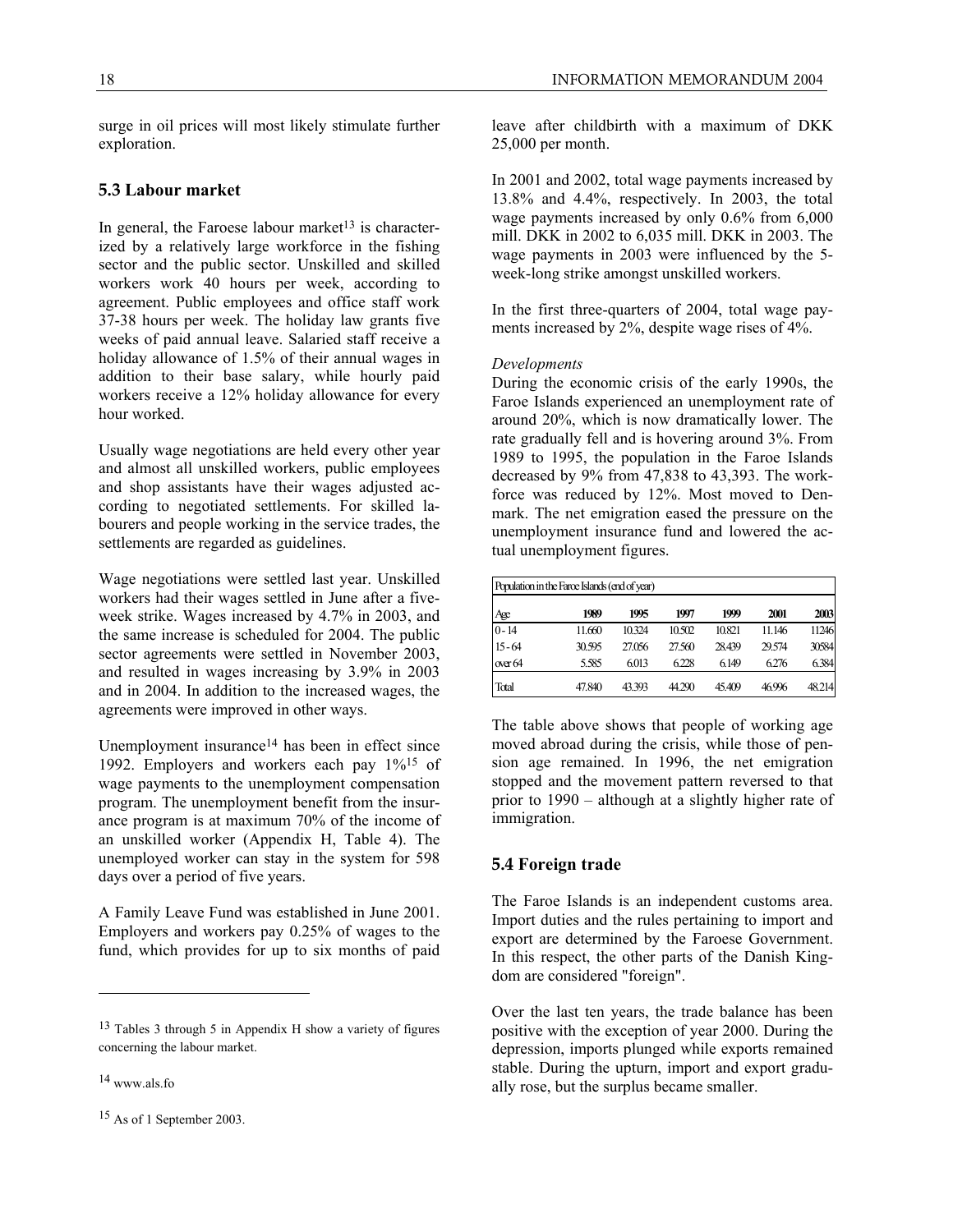surge in oil prices will most likely stimulate further exploration.

# **5.3 Labour market**

In general, the Faroese labour market<sup>13</sup> is characterized by a relatively large workforce in the fishing sector and the public sector. Unskilled and skilled workers work 40 hours per week, according to agreement. Public employees and office staff work 37-38 hours per week. The holiday law grants five weeks of paid annual leave. Salaried staff receive a holiday allowance of 1.5% of their annual wages in addition to their base salary, while hourly paid workers receive a 12% holiday allowance for every hour worked.

Usually wage negotiations are held every other year and almost all unskilled workers, public employees and shop assistants have their wages adjusted according to negotiated settlements. For skilled labourers and people working in the service trades, the settlements are regarded as guidelines.

Wage negotiations were settled last year. Unskilled workers had their wages settled in June after a fiveweek strike. Wages increased by 4.7% in 2003, and the same increase is scheduled for 2004. The public sector agreements were settled in November 2003, and resulted in wages increasing by 3.9% in 2003 and in 2004. In addition to the increased wages, the agreements were improved in other ways.

Unemployment insurance<sup>14</sup> has been in effect since 1992. Employers and workers each pay 1%15 of wage payments to the unemployment compensation program. The unemployment benefit from the insurance program is at maximum 70% of the income of an unskilled worker (Appendix H, Table 4). The unemployed worker can stay in the system for 598 days over a period of five years.

A Family Leave Fund was established in June 2001. Employers and workers pay 0.25% of wages to the fund, which provides for up to six months of paid

<u>.</u>

leave after childbirth with a maximum of DKK 25,000 per month.

In 2001 and 2002, total wage payments increased by 13.8% and 4.4%, respectively. In 2003, the total wage payments increased by only 0.6% from 6,000 mill. DKK in 2002 to 6,035 mill. DKK in 2003. The wage payments in 2003 were influenced by the 5 week-long strike amongst unskilled workers.

In the first three-quarters of 2004, total wage payments increased by 2%, despite wage rises of 4%.

#### *Developments*

During the economic crisis of the early 1990s, the Faroe Islands experienced an unemployment rate of around 20%, which is now dramatically lower. The rate gradually fell and is hovering around 3%. From 1989 to 1995, the population in the Faroe Islands decreased by 9% from 47,838 to 43,393. The workforce was reduced by 12%. Most moved to Denmark. The net emigration eased the pressure on the unemployment insurance fund and lowered the actual unemployment figures.

| Population in the Faroe Islands (end of year) |        |        |        |        |        |        |  |
|-----------------------------------------------|--------|--------|--------|--------|--------|--------|--|
| Age                                           | 1989   | 1995   | 1997   | 1999   | 2001   | 2003   |  |
| $0 - 14$                                      | 11.660 | 10.324 | 10.502 | 10.821 | 11.146 | 11246  |  |
| $15 - 64$                                     | 30.595 | 27.056 | 27.560 | 28.439 | 29.574 | 30584  |  |
| over $64$                                     | 5.585  | 6.013  | 6.228  | 6.149  | 6.276  | 6.384  |  |
| Total                                         | 47.840 | 43.393 | 44.290 | 45.409 | 46.996 | 48.214 |  |

The table above shows that people of working age moved abroad during the crisis, while those of pension age remained. In 1996, the net emigration stopped and the movement pattern reversed to that prior to 1990 – although at a slightly higher rate of immigration.

# **5.4 Foreign trade**

The Faroe Islands is an independent customs area. Import duties and the rules pertaining to import and export are determined by the Faroese Government. In this respect, the other parts of the Danish Kingdom are considered "foreign".

Over the last ten years, the trade balance has been positive with the exception of year 2000. During the depression, imports plunged while exports remained stable. During the upturn, import and export gradually rose, but the surplus became smaller.

<sup>13</sup> Tables 3 through 5 in Appendix H show a variety of figures concerning the labour market.

<sup>14</sup> www.als.fo

<sup>15</sup> As of 1 September 2003.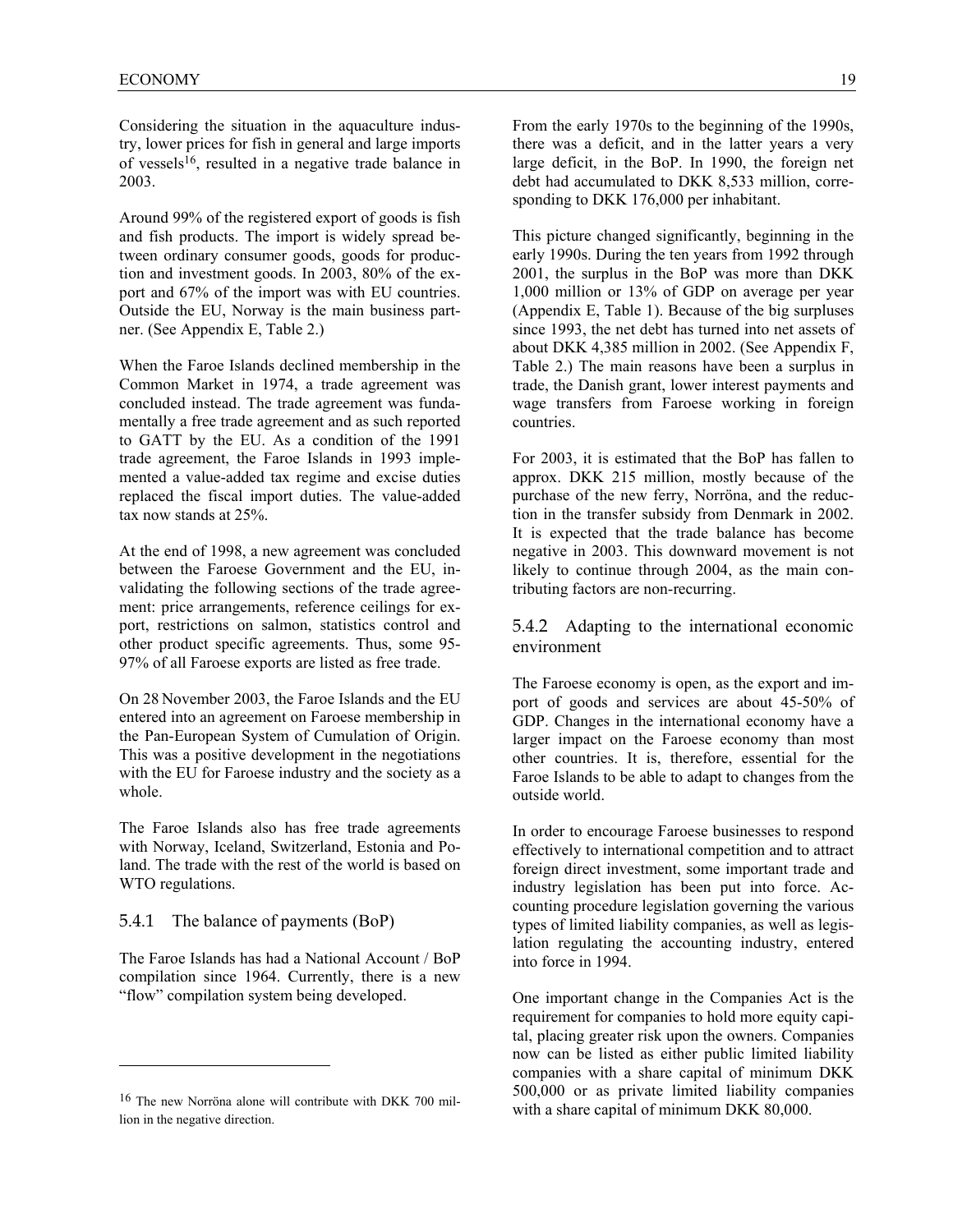Considering the situation in the aquaculture industry, lower prices for fish in general and large imports of vessels<sup>16</sup>, resulted in a negative trade balance in 2003.

Around 99% of the registered export of goods is fish and fish products. The import is widely spread between ordinary consumer goods, goods for production and investment goods. In 2003, 80% of the export and 67% of the import was with EU countries. Outside the EU, Norway is the main business partner. (See Appendix E, Table 2.)

When the Faroe Islands declined membership in the Common Market in 1974, a trade agreement was concluded instead. The trade agreement was fundamentally a free trade agreement and as such reported to GATT by the EU. As a condition of the 1991 trade agreement, the Faroe Islands in 1993 implemented a value-added tax regime and excise duties replaced the fiscal import duties. The value-added tax now stands at 25%.

At the end of 1998, a new agreement was concluded between the Faroese Government and the EU, invalidating the following sections of the trade agreement: price arrangements, reference ceilings for export, restrictions on salmon, statistics control and other product specific agreements. Thus, some 95- 97% of all Faroese exports are listed as free trade.

On 28 November 2003, the Faroe Islands and the EU entered into an agreement on Faroese membership in the Pan-European System of Cumulation of Origin. This was a positive development in the negotiations with the EU for Faroese industry and the society as a whole.

The Faroe Islands also has free trade agreements with Norway, Iceland, Switzerland, Estonia and Poland. The trade with the rest of the world is based on WTO regulations.

# 5.4.1 The balance of payments (BoP)

l

The Faroe Islands has had a National Account / BoP compilation since 1964. Currently, there is a new "flow" compilation system being developed.

From the early 1970s to the beginning of the 1990s, there was a deficit, and in the latter years a very large deficit, in the BoP. In 1990, the foreign net debt had accumulated to DKK 8,533 million, corresponding to DKK 176,000 per inhabitant.

This picture changed significantly, beginning in the early 1990s. During the ten years from 1992 through 2001, the surplus in the BoP was more than DKK 1,000 million or 13% of GDP on average per year (Appendix E, Table 1). Because of the big surpluses since 1993, the net debt has turned into net assets of about DKK 4,385 million in 2002. (See Appendix F, Table 2.) The main reasons have been a surplus in trade, the Danish grant, lower interest payments and wage transfers from Faroese working in foreign countries.

For 2003, it is estimated that the BoP has fallen to approx. DKK 215 million, mostly because of the purchase of the new ferry, Norröna, and the reduction in the transfer subsidy from Denmark in 2002. It is expected that the trade balance has become negative in 2003. This downward movement is not likely to continue through 2004, as the main contributing factors are non-recurring.

# 5.4.2 Adapting to the international economic environment

The Faroese economy is open, as the export and import of goods and services are about 45-50% of GDP. Changes in the international economy have a larger impact on the Faroese economy than most other countries. It is, therefore, essential for the Faroe Islands to be able to adapt to changes from the outside world.

In order to encourage Faroese businesses to respond effectively to international competition and to attract foreign direct investment, some important trade and industry legislation has been put into force. Accounting procedure legislation governing the various types of limited liability companies, as well as legislation regulating the accounting industry, entered into force in 1994.

One important change in the Companies Act is the requirement for companies to hold more equity capital, placing greater risk upon the owners. Companies now can be listed as either public limited liability companies with a share capital of minimum DKK 500,000 or as private limited liability companies with a share capital of minimum DKK 80,000.

<sup>16</sup> The new Norröna alone will contribute with DKK 700 million in the negative direction.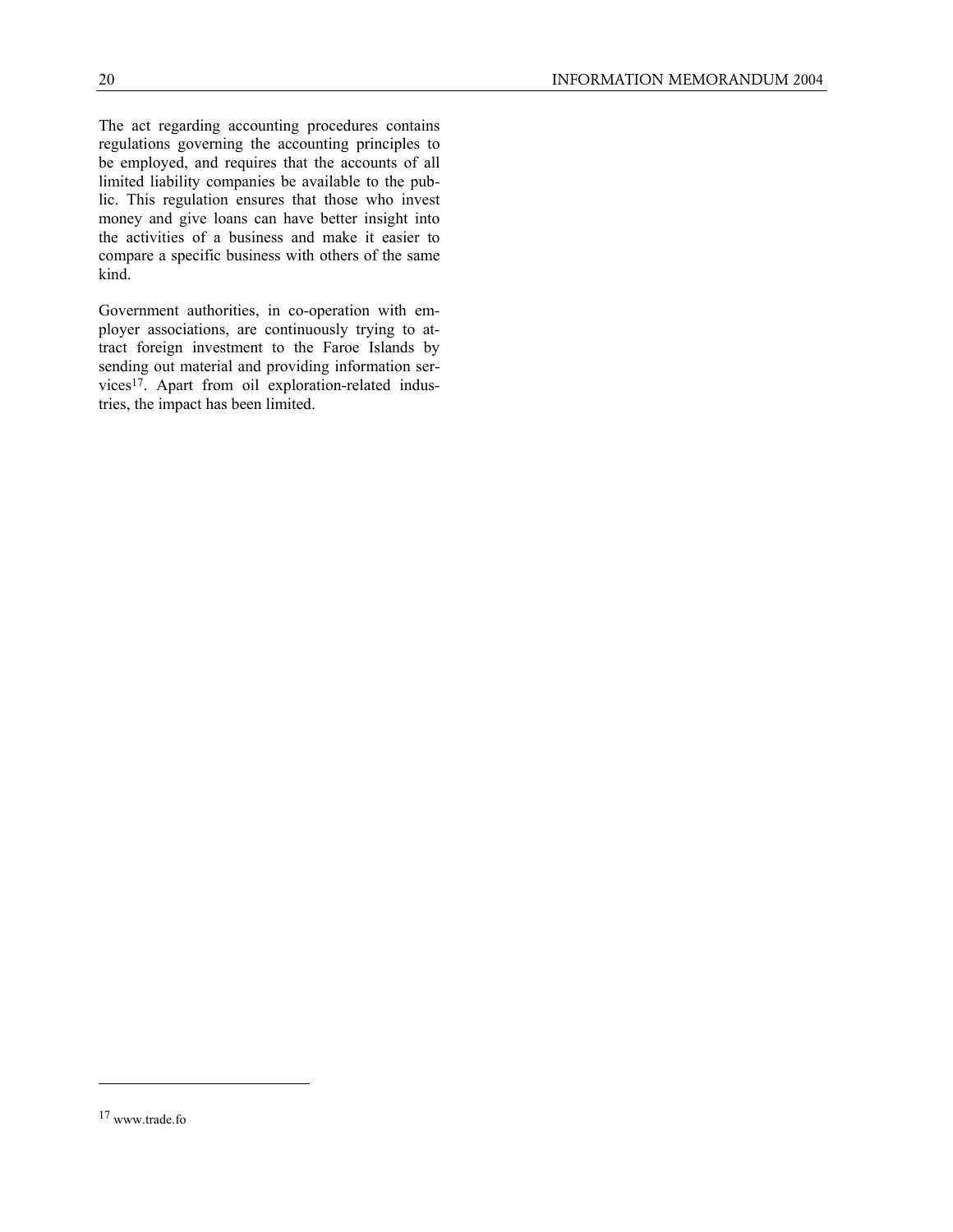The act regarding accounting procedures contains regulations governing the accounting principles to be employed, and requires that the accounts of all limited liability companies be available to the public. This regulation ensures that those who invest money and give loans can have better insight into the activities of a business and make it easier to compare a specific business with others of the same kind.

Government authorities, in co-operation with employer associations, are continuously trying to attract foreign investment to the Faroe Islands by sending out material and providing information services17. Apart from oil exploration-related industries, the impact has been limited.

-

<sup>17</sup> www.trade.fo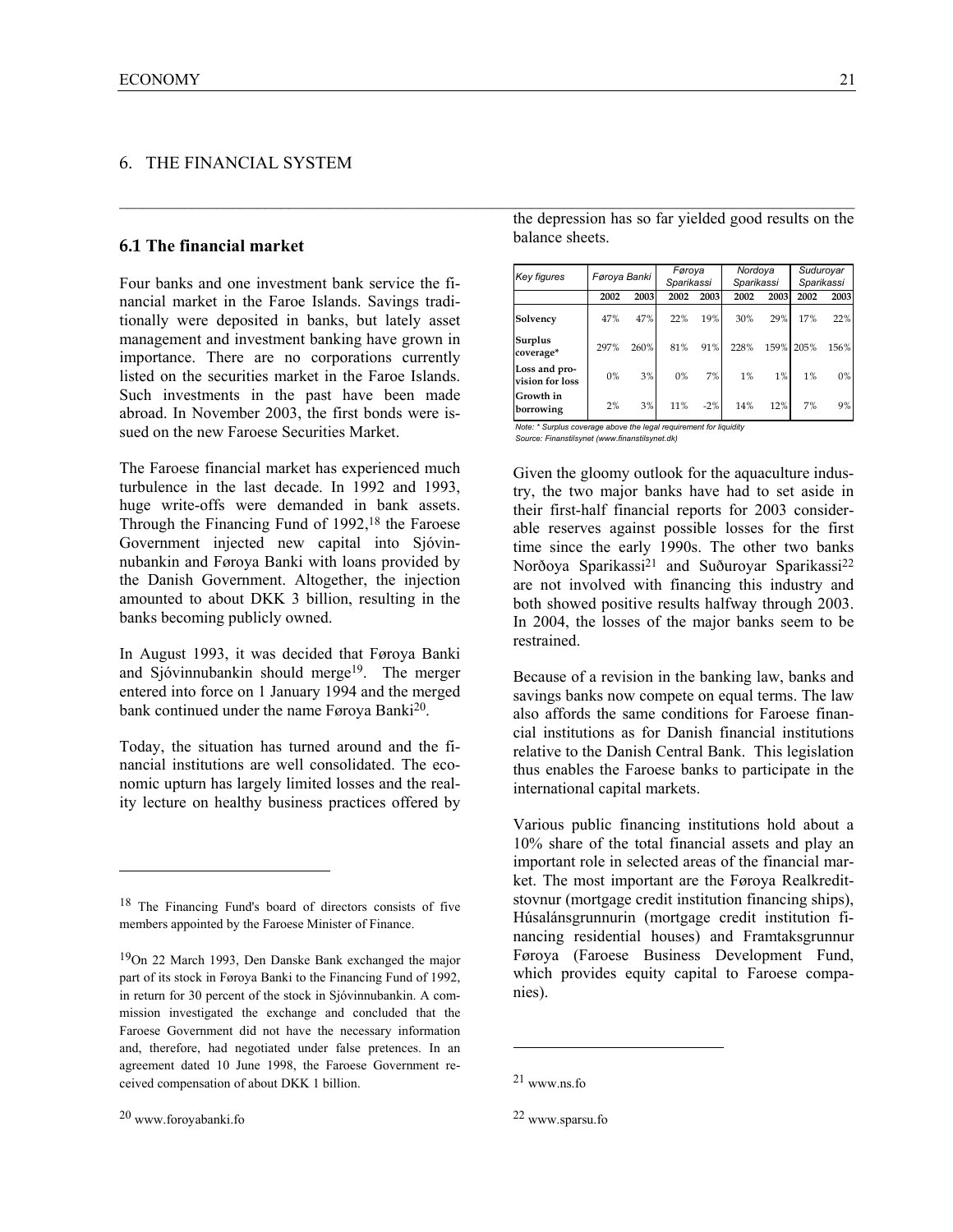# 6. THE FINANCIAL SYSTEM

#### **6.1 The financial market**

Four banks and one investment bank service the financial market in the Faroe Islands. Savings traditionally were deposited in banks, but lately asset management and investment banking have grown in importance. There are no corporations currently listed on the securities market in the Faroe Islands. Such investments in the past have been made abroad. In November 2003, the first bonds were issued on the new Faroese Securities Market.

The Faroese financial market has experienced much turbulence in the last decade. In 1992 and 1993, huge write-offs were demanded in bank assets. Through the Financing Fund of 1992,<sup>18</sup> the Faroese Government injected new capital into Sjóvinnubankin and Føroya Banki with loans provided by the Danish Government. Altogether, the injection amounted to about DKK 3 billion, resulting in the banks becoming publicly owned.

In August 1993, it was decided that Føroya Banki and Sjóvinnubankin should merge19. The merger entered into force on 1 January 1994 and the merged bank continued under the name Føroya Banki<sup>20</sup>.

Today, the situation has turned around and the financial institutions are well consolidated. The economic upturn has largely limited losses and the reality lecture on healthy business practices offered by

the depression has so far yielded good results on the balance sheets.

| <b>Key figures</b>               | Føroya Banki |      | Føroya<br>Sparikassi |       | Nordoya<br>Sparikassi |       | Suduroyar<br>Sparikassi |      |
|----------------------------------|--------------|------|----------------------|-------|-----------------------|-------|-------------------------|------|
|                                  | 2002         | 2003 | 2002                 | 2003  | 2002                  | 2003  | 2002                    | 2003 |
| Solvency                         | 47%          | 47%  | 22%                  | 19%   | 30%                   | 29%   | 17%                     | 22%  |
| Surplus<br>coverage*             | 297%         | 260% | 81%                  | 91%   | 228%                  | 159%  | 205%                    | 156% |
| Loss and pro-<br>vision for loss | 0%           | 3%   | 0%                   | 7%    | 1%                    | $1\%$ | 1%                      | 0%   |
| Growth in<br>borrowing           | 2%           | 3%   | 11%                  | $-2%$ | 14%                   | 12%   | 7%                      | 9%   |

*Note: \* Surplus coverage above the legal requirement for liquidity Source: Finanstilsynet (www.finanstilsynet.dk)*

 $\_$  , and the state of the state of the state of the state of the state of the state of the state of the state of the state of the state of the state of the state of the state of the state of the state of the state of the

Given the gloomy outlook for the aquaculture industry, the two major banks have had to set aside in their first-half financial reports for 2003 considerable reserves against possible losses for the first time since the early 1990s. The other two banks Norðoya Sparikassi<sup>21</sup> and Suðuroyar Sparikassi<sup>22</sup> are not involved with financing this industry and both showed positive results halfway through 2003. In 2004, the losses of the major banks seem to be restrained.

Because of a revision in the banking law, banks and savings banks now compete on equal terms. The law also affords the same conditions for Faroese financial institutions as for Danish financial institutions relative to the Danish Central Bank. This legislation thus enables the Faroese banks to participate in the international capital markets.

Various public financing institutions hold about a 10% share of the total financial assets and play an important role in selected areas of the financial market. The most important are the Føroya Realkreditstovnur (mortgage credit institution financing ships), Húsalánsgrunnurin (mortgage credit institution financing residential houses) and Framtaksgrunnur Føroya (Faroese Business Development Fund, which provides equity capital to Faroese companies).

 $\overline{a}$ 

l

<sup>18</sup> The Financing Fund's board of directors consists of five members appointed by the Faroese Minister of Finance.

<sup>19</sup>On 22 March 1993, Den Danske Bank exchanged the major part of its stock in Føroya Banki to the Financing Fund of 1992, in return for 30 percent of the stock in Sjóvinnubankin. A commission investigated the exchange and concluded that the Faroese Government did not have the necessary information and, therefore, had negotiated under false pretences. In an agreement dated 10 June 1998, the Faroese Government received compensation of about DKK 1 billion.

<sup>21</sup> www.ns.fo

<sup>22</sup> www.sparsu.fo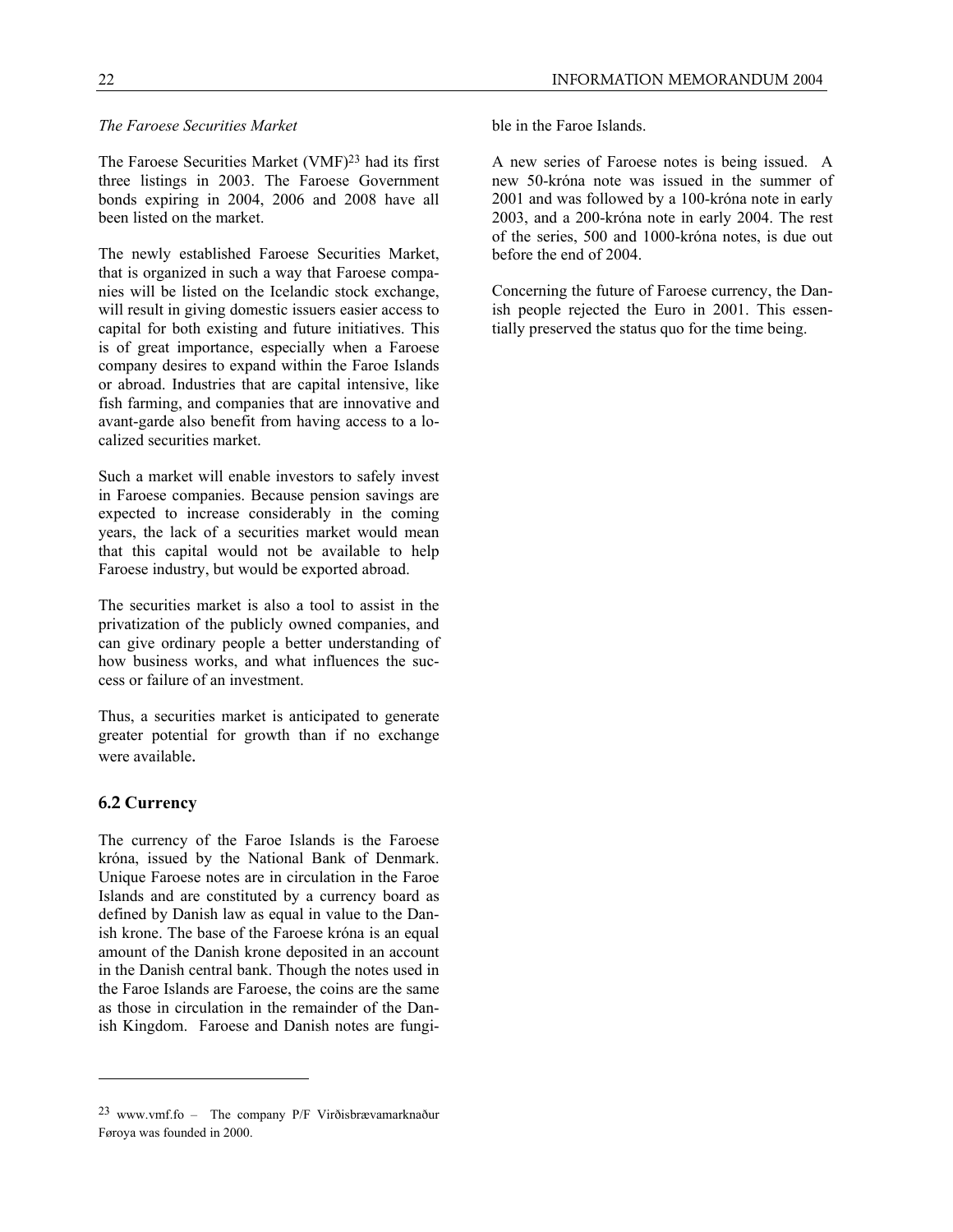#### *The Faroese Securities Market*

The Faroese Securities Market (VMF)<sup>23</sup> had its first three listings in 2003. The Faroese Government bonds expiring in 2004, 2006 and 2008 have all been listed on the market.

The newly established Faroese Securities Market, that is organized in such a way that Faroese companies will be listed on the Icelandic stock exchange, will result in giving domestic issuers easier access to capital for both existing and future initiatives. This is of great importance, especially when a Faroese company desires to expand within the Faroe Islands or abroad. Industries that are capital intensive, like fish farming, and companies that are innovative and avant-garde also benefit from having access to a localized securities market.

Such a market will enable investors to safely invest in Faroese companies. Because pension savings are expected to increase considerably in the coming years, the lack of a securities market would mean that this capital would not be available to help Faroese industry, but would be exported abroad.

The securities market is also a tool to assist in the privatization of the publicly owned companies, and can give ordinary people a better understanding of how business works, and what influences the success or failure of an investment.

Thus, a securities market is anticipated to generate greater potential for growth than if no exchange were available.

# **6.2 Currency**

 $\overline{a}$ 

The currency of the Faroe Islands is the Faroese króna, issued by the National Bank of Denmark. Unique Faroese notes are in circulation in the Faroe Islands and are constituted by a currency board as defined by Danish law as equal in value to the Danish krone. The base of the Faroese króna is an equal amount of the Danish krone deposited in an account in the Danish central bank. Though the notes used in the Faroe Islands are Faroese, the coins are the same as those in circulation in the remainder of the Danish Kingdom. Faroese and Danish notes are fungible in the Faroe Islands.

A new series of Faroese notes is being issued. A new 50-króna note was issued in the summer of 2001 and was followed by a 100-króna note in early 2003, and a 200-króna note in early 2004. The rest of the series, 500 and 1000-króna notes, is due out before the end of 2004.

Concerning the future of Faroese currency, the Danish people rejected the Euro in 2001. This essentially preserved the status quo for the time being.

<sup>23</sup> www.vmf.fo – The company P/F Virðisbrævamarknaður Føroya was founded in 2000.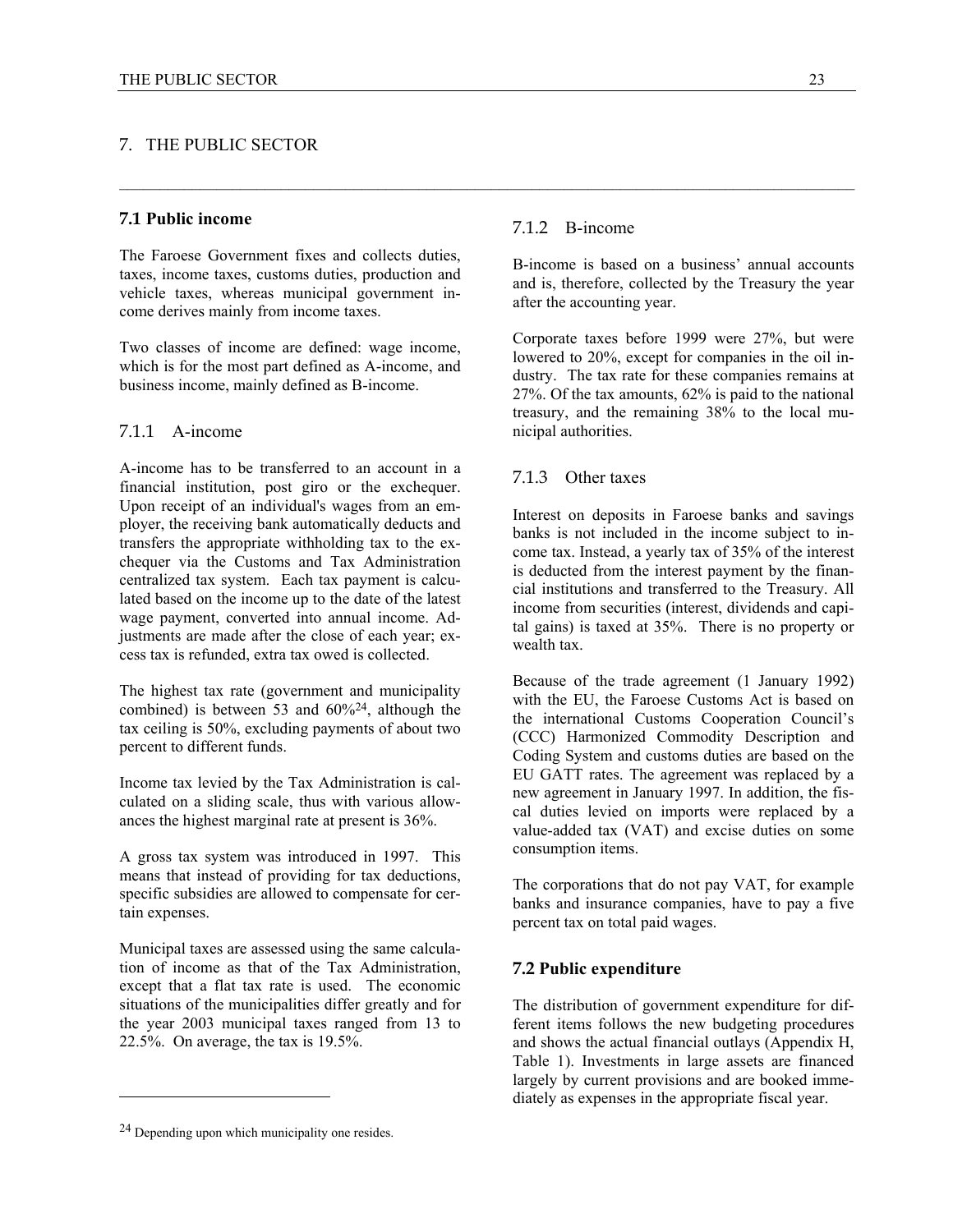# 7. THE PUBLIC SECTOR

# **7.1 Public income**

The Faroese Government fixes and collects duties, taxes, income taxes, customs duties, production and vehicle taxes, whereas municipal government income derives mainly from income taxes.

Two classes of income are defined: wage income, which is for the most part defined as A-income, and business income, mainly defined as B-income.

# 7.1.1 A-income

A-income has to be transferred to an account in a financial institution, post giro or the exchequer. Upon receipt of an individual's wages from an employer, the receiving bank automatically deducts and transfers the appropriate withholding tax to the exchequer via the Customs and Tax Administration centralized tax system. Each tax payment is calculated based on the income up to the date of the latest wage payment, converted into annual income. Adjustments are made after the close of each year; excess tax is refunded, extra tax owed is collected.

The highest tax rate (government and municipality combined) is between 53 and  $60\frac{24}{3}$ , although the tax ceiling is 50%, excluding payments of about two percent to different funds.

Income tax levied by the Tax Administration is calculated on a sliding scale, thus with various allowances the highest marginal rate at present is 36%.

A gross tax system was introduced in 1997. This means that instead of providing for tax deductions, specific subsidies are allowed to compensate for certain expenses.

Municipal taxes are assessed using the same calculation of income as that of the Tax Administration, except that a flat tax rate is used. The economic situations of the municipalities differ greatly and for the year 2003 municipal taxes ranged from 13 to 22.5%. On average, the tax is 19.5%.

l

# 7.1.2 B-income

 $\_$  , and the state of the state of the state of the state of the state of the state of the state of the state of the state of the state of the state of the state of the state of the state of the state of the state of the

B-income is based on a business' annual accounts and is, therefore, collected by the Treasury the year after the accounting year.

Corporate taxes before 1999 were 27%, but were lowered to 20%, except for companies in the oil industry. The tax rate for these companies remains at 27%. Of the tax amounts, 62% is paid to the national treasury, and the remaining 38% to the local municipal authorities.

# 71.3 Other taxes

Interest on deposits in Faroese banks and savings banks is not included in the income subject to income tax. Instead, a yearly tax of 35% of the interest is deducted from the interest payment by the financial institutions and transferred to the Treasury. All income from securities (interest, dividends and capital gains) is taxed at 35%. There is no property or wealth tax.

Because of the trade agreement (1 January 1992) with the EU, the Faroese Customs Act is based on the international Customs Cooperation Council's (CCC) Harmonized Commodity Description and Coding System and customs duties are based on the EU GATT rates. The agreement was replaced by a new agreement in January 1997. In addition, the fiscal duties levied on imports were replaced by a value-added tax (VAT) and excise duties on some consumption items.

The corporations that do not pay VAT, for example banks and insurance companies, have to pay a five percent tax on total paid wages.

#### **7.2 Public expenditure**

The distribution of government expenditure for different items follows the new budgeting procedures and shows the actual financial outlays (Appendix H, Table 1). Investments in large assets are financed largely by current provisions and are booked immediately as expenses in the appropriate fiscal year.

<sup>&</sup>lt;sup>24</sup> Depending upon which municipality one resides.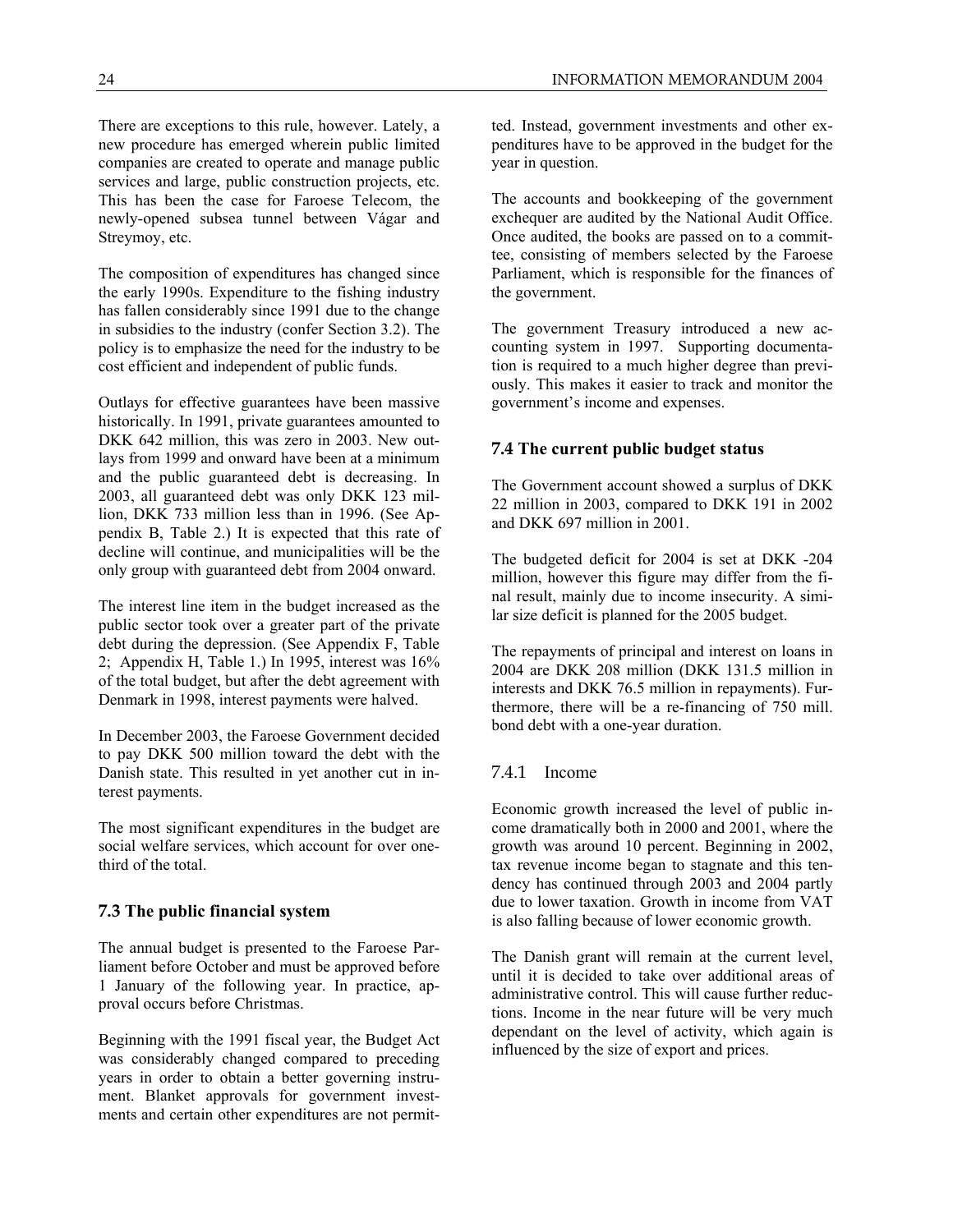The composition of expenditures has changed since the early 1990s. Expenditure to the fishing industry has fallen considerably since 1991 due to the change in subsidies to the industry (confer Section 3.2). The policy is to emphasize the need for the industry to be cost efficient and independent of public funds.

Outlays for effective guarantees have been massive historically. In 1991, private guarantees amounted to DKK 642 million, this was zero in 2003. New outlays from 1999 and onward have been at a minimum and the public guaranteed debt is decreasing. In 2003, all guaranteed debt was only DKK 123 million, DKK 733 million less than in 1996. (See Appendix B, Table 2.) It is expected that this rate of decline will continue, and municipalities will be the only group with guaranteed debt from 2004 onward.

The interest line item in the budget increased as the public sector took over a greater part of the private debt during the depression. (See Appendix F, Table 2; Appendix H, Table 1.) In 1995, interest was 16% of the total budget, but after the debt agreement with Denmark in 1998, interest payments were halved.

In December 2003, the Faroese Government decided to pay DKK 500 million toward the debt with the Danish state. This resulted in yet another cut in interest payments.

The most significant expenditures in the budget are social welfare services, which account for over onethird of the total.

# **7.3 The public financial system**

The annual budget is presented to the Faroese Parliament before October and must be approved before 1 January of the following year. In practice, approval occurs before Christmas.

Beginning with the 1991 fiscal year, the Budget Act was considerably changed compared to preceding years in order to obtain a better governing instrument. Blanket approvals for government investments and certain other expenditures are not permit-

ted. Instead, government investments and other expenditures have to be approved in the budget for the year in question.

The accounts and bookkeeping of the government exchequer are audited by the National Audit Office. Once audited, the books are passed on to a committee, consisting of members selected by the Faroese Parliament, which is responsible for the finances of the government.

The government Treasury introduced a new accounting system in 1997. Supporting documentation is required to a much higher degree than previously. This makes it easier to track and monitor the government's income and expenses.

# **7.4 The current public budget status**

The Government account showed a surplus of DKK 22 million in 2003, compared to DKK 191 in 2002 and DKK 697 million in 2001.

The budgeted deficit for 2004 is set at DKK -204 million, however this figure may differ from the final result, mainly due to income insecurity. A similar size deficit is planned for the 2005 budget.

The repayments of principal and interest on loans in 2004 are DKK 208 million (DKK 131.5 million in interests and DKK 76.5 million in repayments). Furthermore, there will be a re-financing of 750 mill. bond debt with a one-year duration.

# 7.4.1 Income

Economic growth increased the level of public income dramatically both in 2000 and 2001, where the growth was around 10 percent. Beginning in 2002, tax revenue income began to stagnate and this tendency has continued through 2003 and 2004 partly due to lower taxation. Growth in income from VAT is also falling because of lower economic growth.

The Danish grant will remain at the current level, until it is decided to take over additional areas of administrative control. This will cause further reductions. Income in the near future will be very much dependant on the level of activity, which again is influenced by the size of export and prices.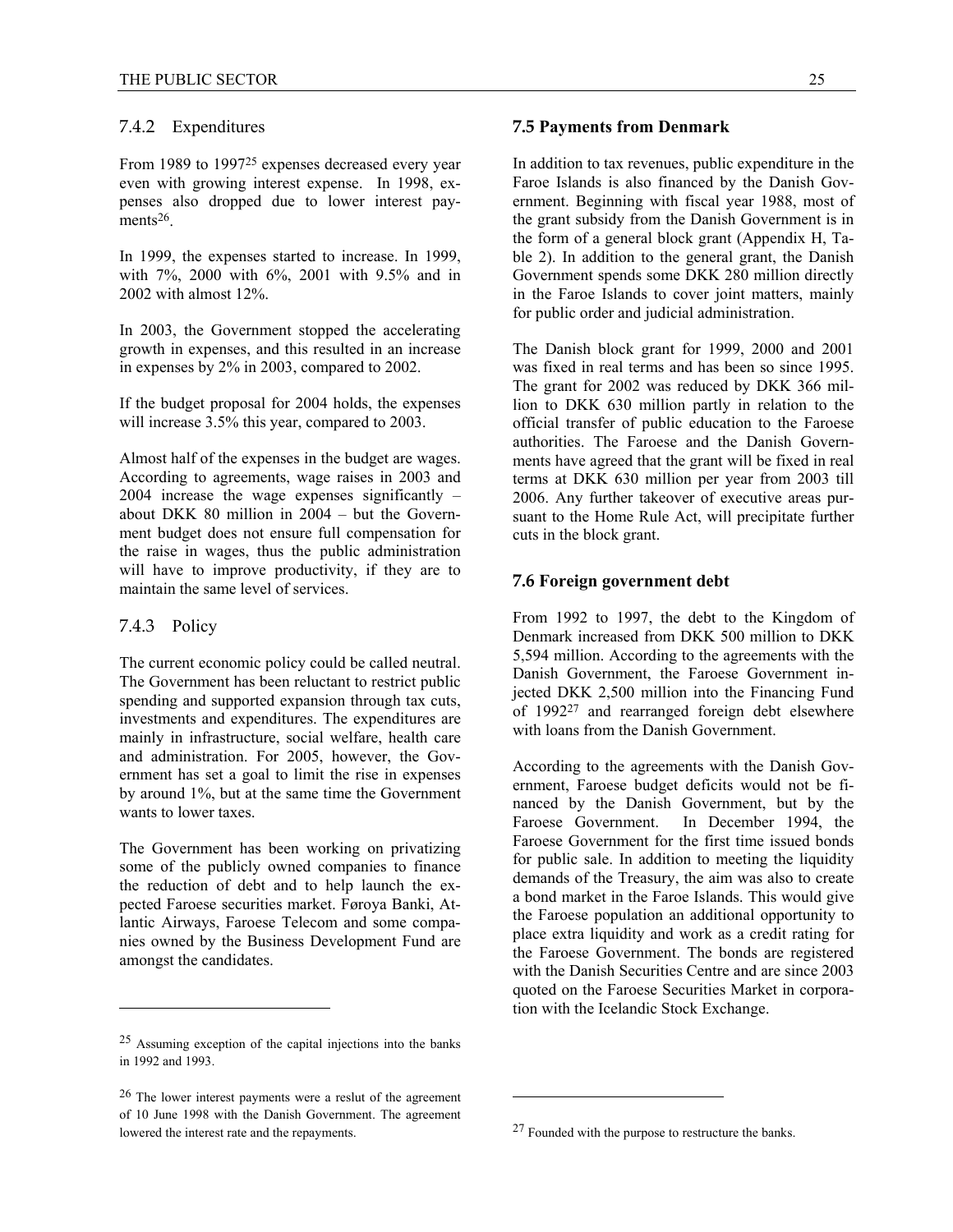# 7.4.2 Expenditures

From 1989 to 1997<sup>25</sup> expenses decreased every year even with growing interest expense. In 1998, expenses also dropped due to lower interest payments<sup>26</sup>.

In 1999, the expenses started to increase. In 1999, with 7%, 2000 with 6%, 2001 with 9.5% and in 2002 with almost 12%.

In 2003, the Government stopped the accelerating growth in expenses, and this resulted in an increase in expenses by 2% in 2003, compared to 2002.

If the budget proposal for 2004 holds, the expenses will increase  $3.5\%$  this year, compared to 2003.

Almost half of the expenses in the budget are wages. According to agreements, wage raises in 2003 and 2004 increase the wage expenses significantly – about DKK 80 million in 2004 – but the Government budget does not ensure full compensation for the raise in wages, thus the public administration will have to improve productivity, if they are to maintain the same level of services.

#### 7.4.3 Policy

 $\overline{a}$ 

The current economic policy could be called neutral. The Government has been reluctant to restrict public spending and supported expansion through tax cuts, investments and expenditures. The expenditures are mainly in infrastructure, social welfare, health care and administration. For 2005, however, the Government has set a goal to limit the rise in expenses by around 1%, but at the same time the Government wants to lower taxes.

The Government has been working on privatizing some of the publicly owned companies to finance the reduction of debt and to help launch the expected Faroese securities market. Føroya Banki, Atlantic Airways, Faroese Telecom and some companies owned by the Business Development Fund are amongst the candidates.

In addition to tax revenues, public expenditure in the Faroe Islands is also financed by the Danish Government. Beginning with fiscal year 1988, most of the grant subsidy from the Danish Government is in the form of a general block grant (Appendix H, Table 2). In addition to the general grant, the Danish Government spends some DKK 280 million directly in the Faroe Islands to cover joint matters, mainly for public order and judicial administration.

The Danish block grant for 1999, 2000 and 2001 was fixed in real terms and has been so since 1995. The grant for 2002 was reduced by DKK 366 million to DKK 630 million partly in relation to the official transfer of public education to the Faroese authorities. The Faroese and the Danish Governments have agreed that the grant will be fixed in real terms at DKK 630 million per year from 2003 till 2006. Any further takeover of executive areas pursuant to the Home Rule Act, will precipitate further cuts in the block grant.

# **7.6 Foreign government debt**

From 1992 to 1997, the debt to the Kingdom of Denmark increased from DKK 500 million to DKK 5,594 million. According to the agreements with the Danish Government, the Faroese Government injected DKK 2,500 million into the Financing Fund of 199227 and rearranged foreign debt elsewhere with loans from the Danish Government.

According to the agreements with the Danish Government, Faroese budget deficits would not be financed by the Danish Government, but by the Faroese Government. In December 1994, the Faroese Government for the first time issued bonds for public sale. In addition to meeting the liquidity demands of the Treasury, the aim was also to create a bond market in the Faroe Islands. This would give the Faroese population an additional opportunity to place extra liquidity and work as a credit rating for the Faroese Government. The bonds are registered with the Danish Securities Centre and are since 2003 quoted on the Faroese Securities Market in corporation with the Icelandic Stock Exchange.

l

<sup>25</sup> Assuming exception of the capital injections into the banks in 1992 and 1993.

<sup>26</sup> The lower interest payments were a reslut of the agreement of 10 June 1998 with the Danish Government. The agreement lowered the interest rate and the repayments.

**<sup>7.5</sup> Payments from Denmark** 

<sup>27</sup> Founded with the purpose to restructure the banks.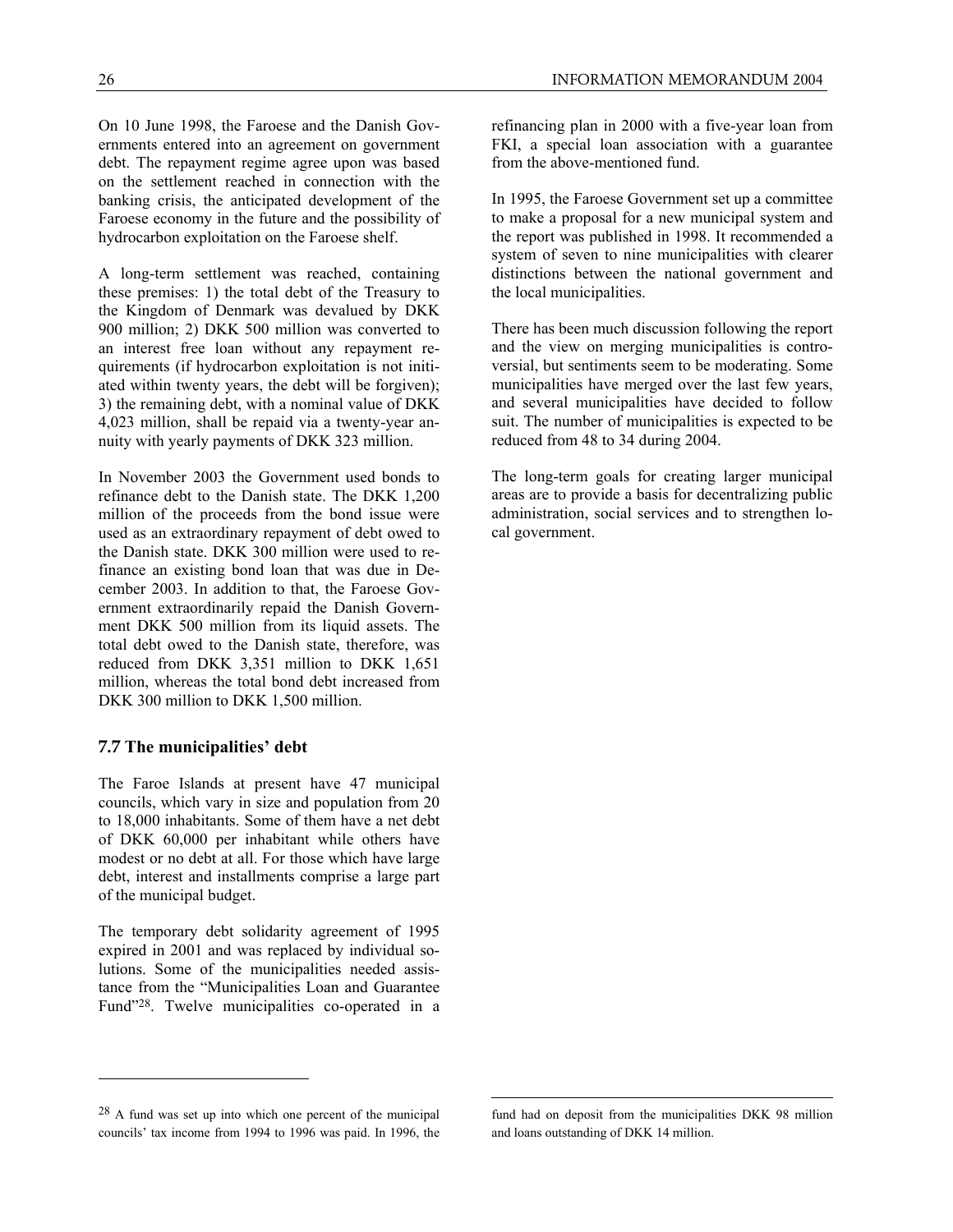A long-term settlement was reached, containing these premises: 1) the total debt of the Treasury to the Kingdom of Denmark was devalued by DKK 900 million; 2) DKK 500 million was converted to an interest free loan without any repayment requirements (if hydrocarbon exploitation is not initiated within twenty years, the debt will be forgiven); 3) the remaining debt, with a nominal value of DKK 4,023 million, shall be repaid via a twenty-year annuity with yearly payments of DKK 323 million.

In November 2003 the Government used bonds to refinance debt to the Danish state. The DKK 1,200 million of the proceeds from the bond issue were used as an extraordinary repayment of debt owed to the Danish state. DKK 300 million were used to refinance an existing bond loan that was due in December 2003. In addition to that, the Faroese Government extraordinarily repaid the Danish Government DKK 500 million from its liquid assets. The total debt owed to the Danish state, therefore, was reduced from DKK 3,351 million to DKK 1,651 million, whereas the total bond debt increased from DKK 300 million to DKK 1,500 million.

# **7.7 The municipalities' debt**

 $\overline{a}$ 

The Faroe Islands at present have 47 municipal councils, which vary in size and population from 20 to 18,000 inhabitants. Some of them have a net debt of DKK 60,000 per inhabitant while others have modest or no debt at all. For those which have large debt, interest and installments comprise a large part of the municipal budget.

The temporary debt solidarity agreement of 1995 expired in 2001 and was replaced by individual solutions. Some of the municipalities needed assistance from the "Municipalities Loan and Guarantee Fund"28. Twelve municipalities co-operated in a refinancing plan in 2000 with a five-year loan from FKI, a special loan association with a guarantee from the above-mentioned fund.

In 1995, the Faroese Government set up a committee to make a proposal for a new municipal system and the report was published in 1998. It recommended a system of seven to nine municipalities with clearer distinctions between the national government and the local municipalities.

There has been much discussion following the report and the view on merging municipalities is controversial, but sentiments seem to be moderating. Some municipalities have merged over the last few years, and several municipalities have decided to follow suit. The number of municipalities is expected to be reduced from 48 to 34 during 2004.

The long-term goals for creating larger municipal areas are to provide a basis for decentralizing public administration, social services and to strengthen local government.

<u>.</u>

 $28$  A fund was set up into which one percent of the municipal councils' tax income from 1994 to 1996 was paid. In 1996, the

fund had on deposit from the municipalities DKK 98 million and loans outstanding of DKK 14 million.